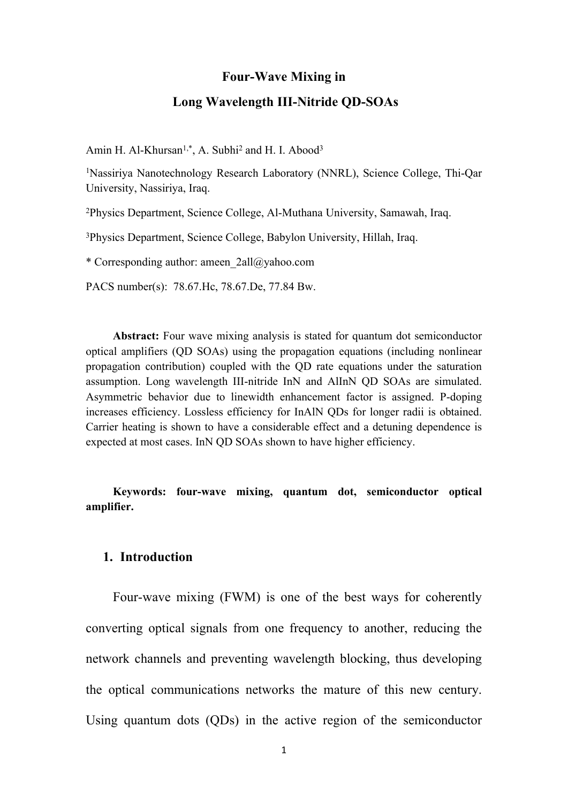#### **Four-Wave Mixing in**

#### **Long Wavelength III-Nitride QD-SOAs**

Amin H. Al-Khursan<sup>1,\*</sup>, A. Subhi<sup>2</sup> and H. I. Abood<sup>3</sup>

<sup>1</sup>Nassiriya Nanotechnology Research Laboratory (NNRL), Science College, Thi-Qar University, Nassiriya, Iraq.

<sup>2</sup>Physics Department, Science College, Al-Muthana University, Samawah, Iraq.

<sup>3</sup>Physics Department, Science College, Babylon University, Hillah, Iraq.

\* Corresponding author: ameen\_2all@yahoo.com

PACS number(s): 78.67.Hc, 78.67.De, 77.84 Bw.

**Abstract:** Four wave mixing analysis is stated for quantum dot semiconductor optical amplifiers (QD SOAs) using the propagation equations (including nonlinear propagation contribution) coupled with the QD rate equations under the saturation assumption. Long wavelength III-nitride InN and AlInN QD SOAs are simulated. Asymmetric behavior due to linewidth enhancement factor is assigned. P-doping increases efficiency. Lossless efficiency for InAlN QDs for longer radii is obtained. Carrier heating is shown to have a considerable effect and a detuning dependence is expected at most cases. InN QD SOAs shown to have higher efficiency.

### **Keywords: four-wave mixing, quantum dot, semiconductor optical amplifier.**

#### **1. Introduction**

Four-wave mixing (FWM) is one of the best ways for coherently converting optical signals from one frequency to another, reducing the network channels and preventing wavelength blocking, thus developing the optical communications networks the mature of this new century. Using quantum dots (QDs) in the active region of the semiconductor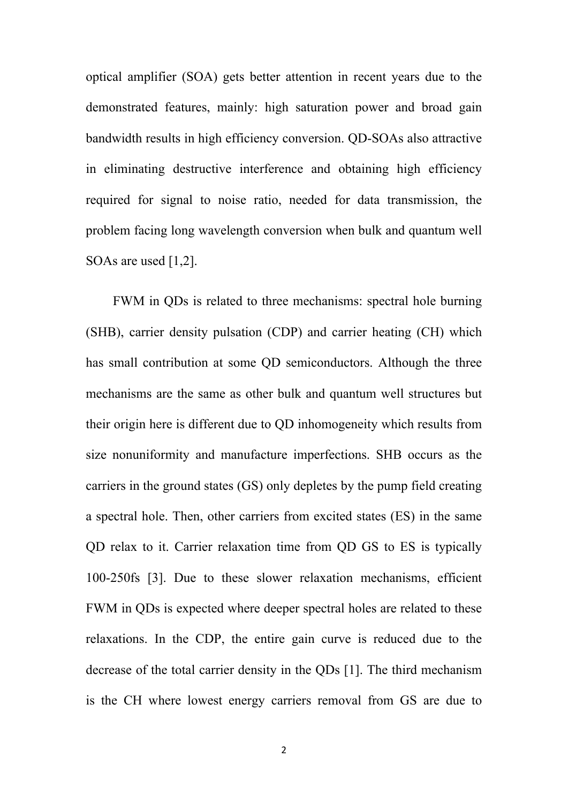optical amplifier (SOA) gets better attention in recent years due to the demonstrated features, mainly: high saturation power and broad gain bandwidth results in high efficiency conversion. QD-SOAs also attractive in eliminating destructive interference and obtaining high efficiency required for signal to noise ratio, needed for data transmission, the problem facing long wavelength conversion when bulk and quantum well SOAs are used [1,2].

FWM in QDs is related to three mechanisms: spectral hole burning (SHB), carrier density pulsation (CDP) and carrier heating (CH) which has small contribution at some QD semiconductors. Although the three mechanisms are the same as other bulk and quantum well structures but their origin here is different due to QD inhomogeneity which results from size nonuniformity and manufacture imperfections. SHB occurs as the carriers in the ground states (GS) only depletes by the pump field creating a spectral hole. Then, other carriers from excited states (ES) in the same QD relax to it. Carrier relaxation time from QD GS to ES is typically 100-250fs [3]. Due to these slower relaxation mechanisms, efficient FWM in QDs is expected where deeper spectral holes are related to these relaxations. In the CDP, the entire gain curve is reduced due to the decrease of the total carrier density in the QDs [1]. The third mechanism is the CH where lowest energy carriers removal from GS are due to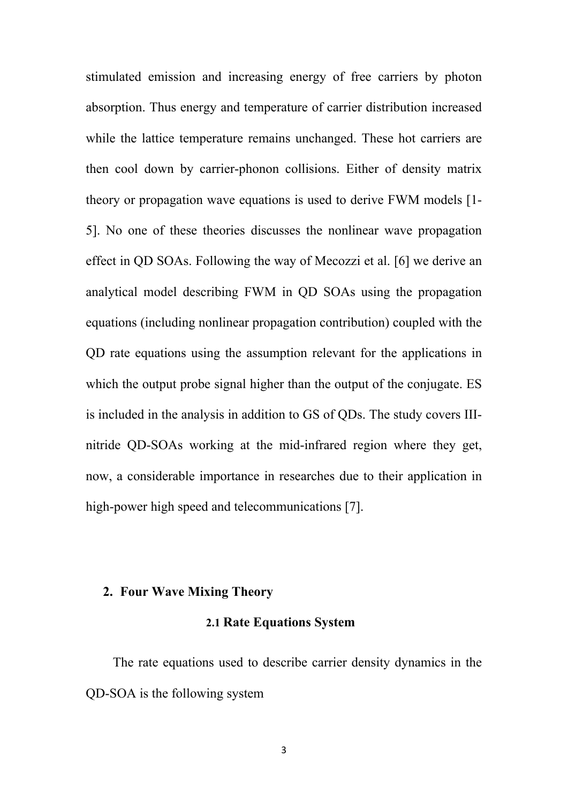stimulated emission and increasing energy of free carriers by photon absorption. Thus energy and temperature of carrier distribution increased while the lattice temperature remains unchanged. These hot carriers are then cool down by carrier-phonon collisions. Either of density matrix theory or propagation wave equations is used to derive FWM models [1- 5]. No one of these theories discusses the nonlinear wave propagation effect in QD SOAs. Following the way of Mecozzi et al. [6] we derive an analytical model describing FWM in QD SOAs using the propagation equations (including nonlinear propagation contribution) coupled with the QD rate equations using the assumption relevant for the applications in which the output probe signal higher than the output of the conjugate. ES is included in the analysis in addition to GS of QDs. The study covers IIInitride QD-SOAs working at the mid-infrared region where they get, now, a considerable importance in researches due to their application in high-power high speed and telecommunications [7].

# **2. Four Wave Mixing Theory**

#### **2.1 Rate Equations System**

The rate equations used to describe carrier density dynamics in the QD-SOA is the following system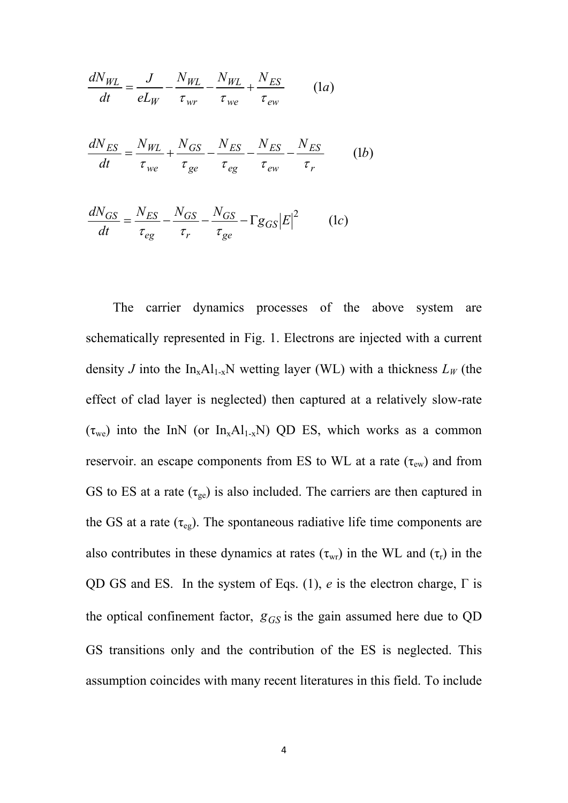$$
\frac{dN_{WL}}{dt} = \frac{J}{eL_W} - \frac{N_{WL}}{\tau_{wr}} - \frac{N_{WL}}{\tau_{we}} + \frac{N_{ES}}{\tau_{ew}}
$$
(1*a*)  

$$
\frac{dN_{ES}}{dt} = \frac{N_{WL}}{\tau_{we}} + \frac{N_{GS}}{\tau_{ge}} - \frac{N_{ES}}{\tau_{eg}} - \frac{N_{ES}}{\tau_{ew}} - \frac{N_{ES}}{\tau_{r}}
$$
(1*b*)

$$
\frac{dN_{GS}}{dt} = \frac{N_{ES}}{\tau_{eg}} - \frac{N_{GS}}{\tau_r} - \frac{N_{GS}}{\tau_{ge}} - \Gamma g_{GS} |E|^2 \qquad (1c)
$$

The carrier dynamics processes of the above system are schematically represented in Fig. 1. Electrons are injected with a current density *J* into the  $In_xAl_{1-x}N$  wetting layer (WL) with a thickness  $L_W$  (the effect of clad layer is neglected) then captured at a relatively slow-rate  $(\tau_{we})$  into the InN (or In<sub>x</sub>Al<sub>1-x</sub>N) QD ES, which works as a common reservoir. an escape components from ES to WL at a rate ( $\tau_{ew}$ ) and from GS to ES at a rate  $(\tau_{ge})$  is also included. The carriers are then captured in the GS at a rate  $(\tau_{eg})$ . The spontaneous radiative life time components are also contributes in these dynamics at rates  $(\tau_{wr})$  in the WL and  $(\tau_r)$  in the QD GS and ES. In the system of Eqs. (1), *e* is the electron charge, Γ is the optical confinement factor, *gGS* is the gain assumed here due to QD GS transitions only and the contribution of the ES is neglected. This assumption coincides with many recent literatures in this field. To include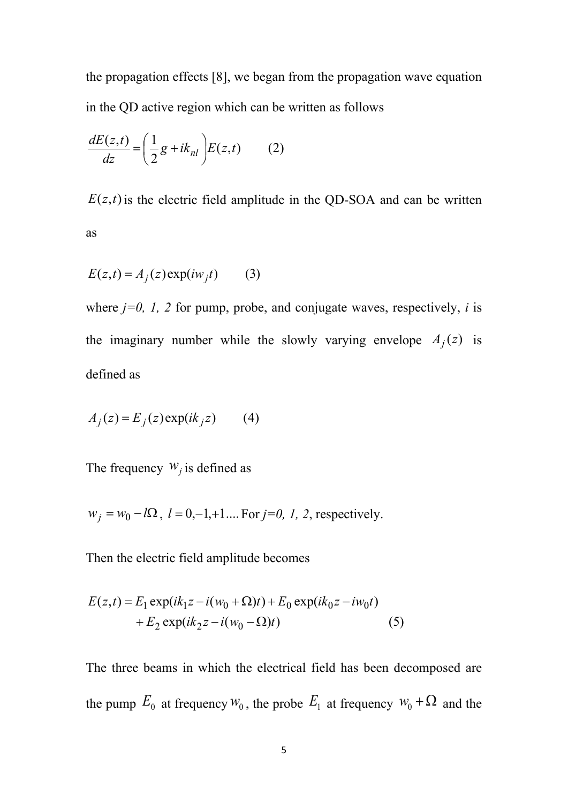the propagation effects [8], we began from the propagation wave equation in the QD active region which can be written as follows

$$
\frac{dE(z,t)}{dz} = \left(\frac{1}{2}g + ik_{nl}\right)E(z,t) \tag{2}
$$

 $E(z,t)$  is the electric field amplitude in the QD-SOA and can be written as

$$
E(z,t) = A_j(z) \exp(i w_j t) \tag{3}
$$

where  $j=0$ ,  $1$ ,  $2$  for pump, probe, and conjugate waves, respectively,  $i$  is the imaginary number while the slowly varying envelope  $A_j(z)$  is defined as

$$
A_j(z) = E_j(z) \exp(ik_j z) \qquad (4)
$$

The frequency  $W_j$  is defined as

$$
w_j = w_0 - l\Omega
$$
,  $l = 0, -1, +1, \dots$  For  $j = 0, 1, 2$ , respectively.

Then the electric field amplitude becomes

$$
E(z,t) = E_1 \exp(ik_1 z - i(w_0 + \Omega)t) + E_0 \exp(ik_0 z - iw_0 t)
$$
  
+ 
$$
E_2 \exp(ik_2 z - i(w_0 - \Omega)t)
$$
 (5)

The three beams in which the electrical field has been decomposed are the pump  $E_0$  at frequency  $W_0$ , the probe  $E_1$  at frequency  $W_0 + \Omega$  and the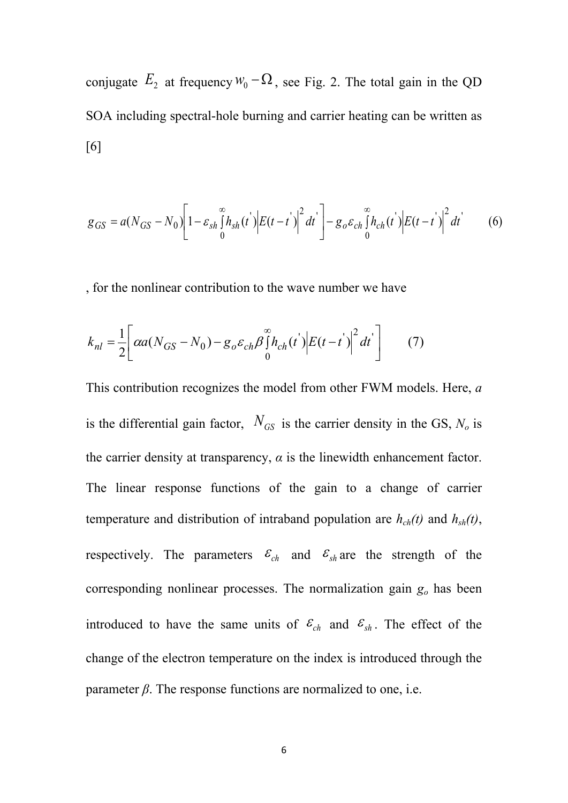conjugate  $E_2$  at frequency  $W_0 - \Omega$ , see Fig. 2. The total gain in the QD SOA including spectral-hole burning and carrier heating can be written as [6]

$$
g_{GS} = a(N_{GS} - N_0) \left[ 1 - \varepsilon_{sh} \int_0^\infty h_{sh}(t') \Big| E(t - t') \Big|^2 dt' \right] - g_o \varepsilon_{ch} \int_0^\infty h_{ch}(t') \Big| E(t - t') \Big|^2 dt' \tag{6}
$$

, for the nonlinear contribution to the wave number we have

$$
k_{nl} = \frac{1}{2} \left[ \alpha a (N_{GS} - N_0) - g_o \varepsilon_{ch} \beta \int_0^\infty h_{ch}(t) \left| E(t - t') \right|^2 dt' \right] \tag{7}
$$

This contribution recognizes the model from other FWM models. Here, *a* is the differential gain factor,  $N_{GS}$  is the carrier density in the GS,  $N_o$  is the carrier density at transparency,  $\alpha$  is the linewidth enhancement factor. The linear response functions of the gain to a change of carrier temperature and distribution of intraband population are  $h_{ch}(t)$  and  $h_{sh}(t)$ , respectively. The parameters  $\varepsilon_{ch}$  and  $\varepsilon_{sh}$  are the strength of the corresponding nonlinear processes. The normalization gain *g<sup>o</sup>* has been introduced to have the same units of  $\varepsilon_{ch}$  and  $\varepsilon_{sh}$ . The effect of the change of the electron temperature on the index is introduced through the parameter  $\beta$ . The response functions are normalized to one, i.e.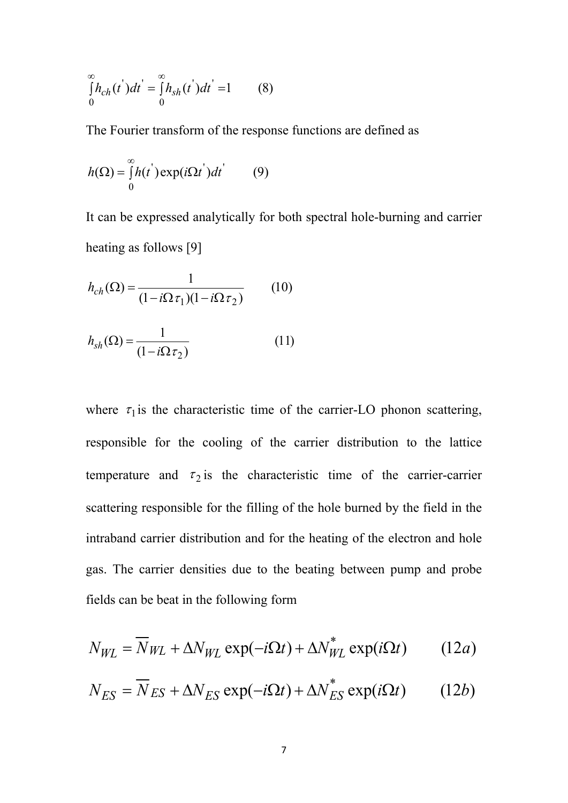$$
\int_{0}^{\infty} h_{ch}(t^{'} ) dt^{'} = \int_{0}^{\infty} h_{sh}(t^{'} ) dt^{'} = 1
$$
 (8)

The Fourier transform of the response functions are defined as

$$
h(\Omega) = \int_{0}^{\infty} h(t^{'} ) \exp(i\Omega t^{'} ) dt^{'} \qquad (9)
$$

It can be expressed analytically for both spectral hole-burning and carrier heating as follows [9]

$$
h_{ch}(\Omega) = \frac{1}{(1 - i\Omega \tau_1)(1 - i\Omega \tau_2)}\tag{10}
$$

$$
h_{sh}(\Omega) = \frac{1}{(1 - i\Omega \tau_2)}
$$
 (11)

where  $\tau_1$  is the characteristic time of the carrier-LO phonon scattering, responsible for the cooling of the carrier distribution to the lattice temperature and  $\tau_2$  is the characteristic time of the carrier-carrier scattering responsible for the filling of the hole burned by the field in the intraband carrier distribution and for the heating of the electron and hole gas. The carrier densities due to the beating between pump and probe fields can be beat in the following form

$$
N_{WL} = \overline{N}_{WL} + \Delta N_{WL} \exp(-i\Omega t) + \Delta N_{WL}^{*} \exp(i\Omega t)
$$
 (12*a*)

$$
N_{ES} = \overline{N}_{ES} + \Delta N_{ES} \exp(-i\Omega t) + \Delta N_{ES}^{*} \exp(i\Omega t)
$$
 (12b)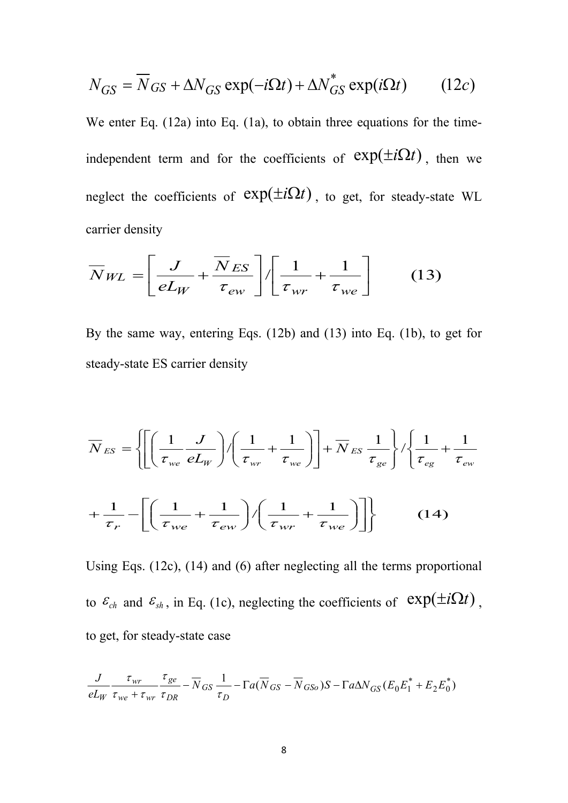$$
N_{GS} = \overline{N}_{GS} + \Delta N_{GS} \exp(-i\Omega t) + \Delta N_{GS}^* \exp(i\Omega t) \qquad (12c)
$$

We enter Eq. (12a) into Eq. (1a), to obtain three equations for the timeindependent term and for the coefficients of  $exp(\pm i\Omega t)$ , then we neglect the coefficients of  $exp(\pm i\Omega t)$ , to get, for steady-state WL carrier density

$$
\overline{N}_{WL} = \left[ \frac{J}{eL_W} + \frac{\overline{N}_{ES}}{\tau_{ew}} \right] / \left[ \frac{1}{\tau_{wr}} + \frac{1}{\tau_{we}} \right]
$$
(13)

By the same way, entering Eqs. (12b) and (13) into Eq. (1b), to get for steady-state ES carrier density

$$
\overline{N}_{ES} = \left\{ \left[ \left( \frac{1}{\tau_{we}} \frac{J}{eL_W} \right) / \left( \frac{1}{\tau_{wr}} + \frac{1}{\tau_{we}} \right) \right] + \overline{N}_{ES} \frac{1}{\tau_{ge}} \right\} / \left\{ \frac{1}{\tau_{eg}} + \frac{1}{\tau_{ew}} \right\}
$$

$$
+ \frac{1}{\tau_r} - \left[ \left( \frac{1}{\tau_{we}} + \frac{1}{\tau_{ew}} \right) / \left( \frac{1}{\tau_{wr}} + \frac{1}{\tau_{we}} \right) \right] \right\} \qquad (14)
$$

Using Eqs. (12c), (14) and (6) after neglecting all the terms proportional to  $\varepsilon_{ch}$  and  $\varepsilon_{sh}$ , in Eq. (1c), neglecting the coefficients of  $\exp(\pm i\Omega t)$ . to get, for steady-state case

$$
\frac{J}{eL_W} \frac{\tau_{wr}}{\tau_{we} + \tau_{wr}} \frac{\tau_{ge}}{\tau_{DR}} - \overline{N}_{GS} \frac{1}{\tau_D} - \Gamma a (\overline{N}_{GS} - \overline{N}_{GSo}) S - \Gamma a \Delta N_{GS} (E_0 E_1^* + E_2 E_0^*)
$$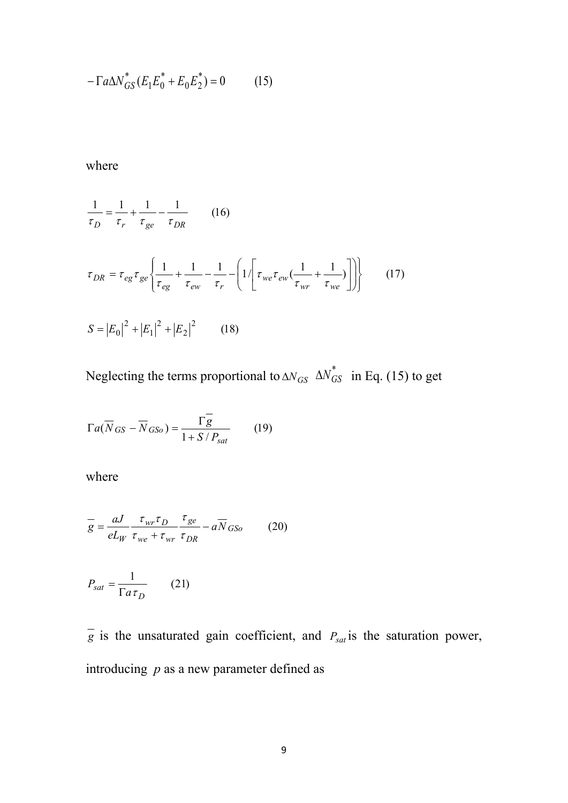$$
-\Gamma a \Delta N_{GS}^* (E_1 E_0^* + E_0 E_2^*) = 0 \tag{15}
$$

where

$$
\frac{1}{\tau_D} = \frac{1}{\tau_r} + \frac{1}{\tau_{ge}} - \frac{1}{\tau_{DR}} \qquad (16)
$$
\n
$$
\tau_{DR} = \tau_{eg} \tau_{ge} \left\{ \frac{1}{\tau_{eg}} + \frac{1}{\tau_{ew}} - \frac{1}{\tau_r} - \left( 1 / \left[ \tau_{we} \tau_{ew} \left( \frac{1}{\tau_{wr}} + \frac{1}{\tau_{we}} \right) \right] \right) \right\} \qquad (17)
$$
\n
$$
S = |E_0|^2 + |E_1|^2 + |E_2|^2 \qquad (18)
$$

Neglecting the terms proportional to  $\Delta N_{GS} \Delta N_{GS}^*$  in Eq. (15) to get

$$
\Gamma a(\overline{N}_{GS} - \overline{N}_{GSo}) = \frac{\Gamma \overline{g}}{1 + S/P_{sat}} \qquad (19)
$$

where

$$
\frac{1}{g} = \frac{aJ}{eL_W} \frac{\tau_{wr}\tau_D}{\tau_{we} + \tau_{wr}} \frac{\tau_{ge}}{\tau_{DR}} - a\overline{N}_{GSo}
$$
 (20)

$$
P_{sat} = \frac{1}{\Gamma a \tau_D} \qquad (21)
$$

 $\overline{g}$  is the unsaturated gain coefficient, and  $P_{sat}$  is the saturation power, introducing *p* as a new parameter defined as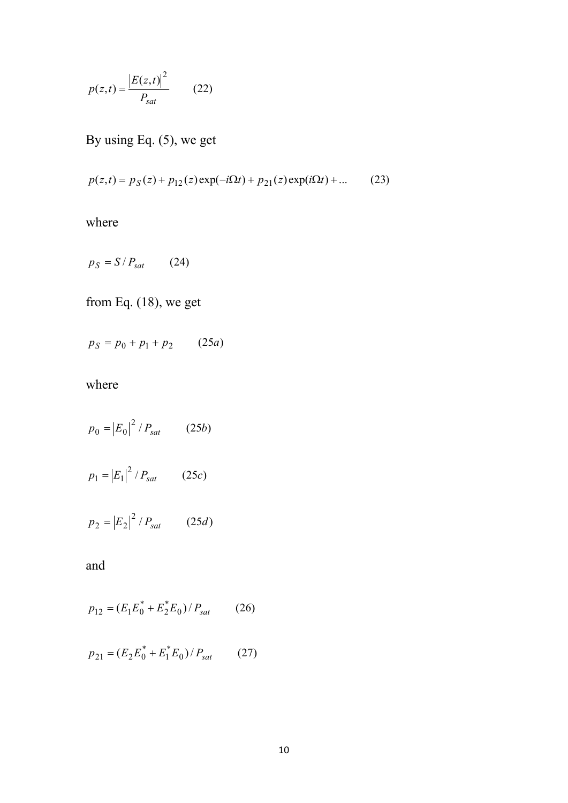$$
p(z,t) = \frac{|E(z,t)|^2}{P_{sat}} \qquad (22)
$$

By using Eq. (5), we get

$$
p(z,t) = p_S(z) + p_{12}(z) \exp(-i\Omega t) + p_{21}(z) \exp(i\Omega t) + ... \tag{23}
$$

where

$$
p_S = S / P_{sat} \qquad (24)
$$

from Eq. (18), we get

 $p_S = p_0 + p_1 + p_2$  (25*a*)

where

$$
p_0 = |E_0|^2 / P_{sat}
$$
 (25b)  

$$
p_1 = |E_1|^2 / P_{sat}
$$
 (25c)

$$
p_2 = |E_2|^2 / P_{sat} \qquad (25d)
$$

and

$$
p_{12} = (E_1 E_0^* + E_2^* E_0) / P_{sat}
$$
 (26)

$$
p_{21} = (E_2 E_0^* + E_1^* E_0) / P_{sat}
$$
 (27)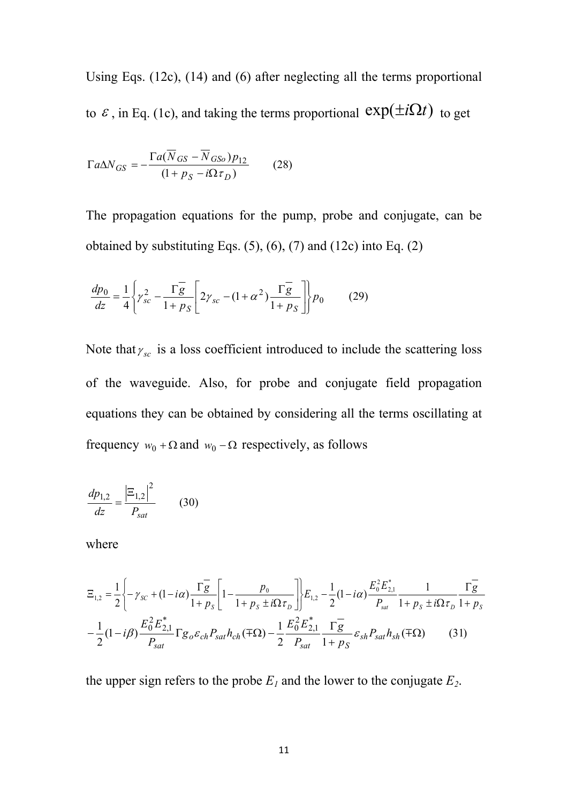Using Eqs. (12c), (14) and (6) after neglecting all the terms proportional to  $\varepsilon$ , in Eq. (1c), and taking the terms proportional  $exp(\pm i\Omega t)$  to get

$$
\Gamma a \Delta N_{GS} = -\frac{\Gamma a (N_{GS} - N_{GSo}) p_{12}}{(1 + p_S - i\Omega \tau_D)}
$$
 (28)

The propagation equations for the pump, probe and conjugate, can be obtained by substituting Eqs.  $(5)$ ,  $(6)$ ,  $(7)$  and  $(12c)$  into Eq.  $(2)$ 

$$
\frac{dp_0}{dz} = \frac{1}{4} \left\{ \gamma_{sc}^2 - \frac{\Gamma g}{1 + p_S} \left[ 2\gamma_{sc} - (1 + \alpha^2) \frac{\Gamma g}{1 + p_S} \right] \right\} p_0 \tag{29}
$$

Note that  $\gamma_{sc}$  is a loss coefficient introduced to include the scattering loss of the waveguide. Also, for probe and conjugate field propagation equations they can be obtained by considering all the terms oscillating at frequency  $w_0 + \Omega$  and  $w_0 - \Omega$  respectively, as follows

$$
\frac{dp_{1,2}}{dz} = \frac{|\Xi_{1,2}|^2}{P_{sat}}\qquad(30)
$$

where

$$
\Xi_{1,2} = \frac{1}{2} \left\{ -\gamma_{SC} + (1 - i\alpha) \frac{\overline{\Gamma g}}{1 + p_S} \left[ 1 - \frac{p_0}{1 + p_S \pm i\Omega \tau_D} \right] \right\} E_{1,2} - \frac{1}{2} (1 - i\alpha) \frac{E_0^2 E_{2,1}^*}{P_{sat}} \frac{1}{1 + p_S \pm i\Omega \tau_D} \frac{\overline{\Gamma g}}{1 + p_S}
$$
\n
$$
-\frac{1}{2} (1 - i\beta) \frac{E_0^2 E_{2,1}^*}{P_{sat}} \Gamma g_0 \varepsilon_{ch} P_{sat} h_{ch} (\mp \Omega) - \frac{1}{2} \frac{E_0^2 E_{2,1}^*}{P_{sat}} \frac{\overline{\Gamma g}}{1 + p_S} \varepsilon_{sh} P_{sat} h_{sh} (\mp \Omega) \tag{31}
$$

the upper sign refers to the probe  $E<sub>1</sub>$  and the lower to the conjugate  $E<sub>2</sub>$ .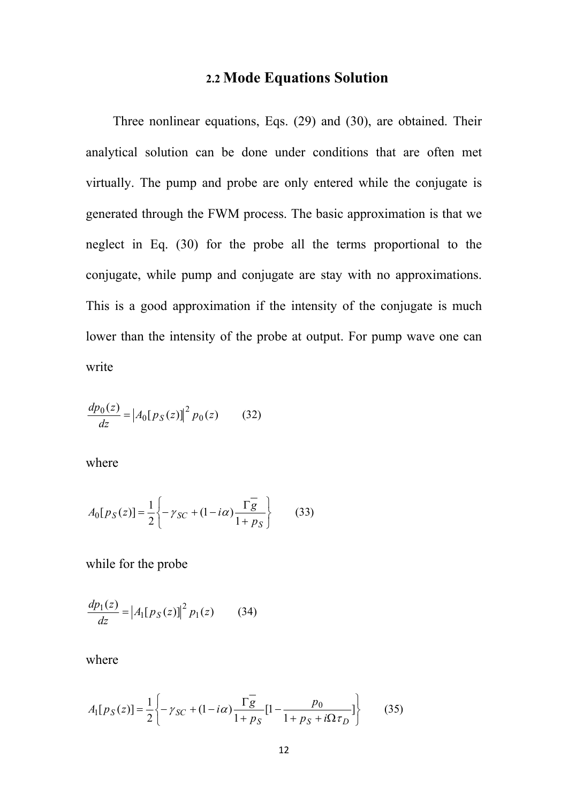# **2.2 Mode Equations Solution**

Three nonlinear equations, Eqs. (29) and (30), are obtained. Their analytical solution can be done under conditions that are often met virtually. The pump and probe are only entered while the conjugate is generated through the FWM process. The basic approximation is that we neglect in Eq. (30) for the probe all the terms proportional to the conjugate, while pump and conjugate are stay with no approximations. This is a good approximation if the intensity of the conjugate is much lower than the intensity of the probe at output. For pump wave one can write

$$
\frac{dp_0(z)}{dz} = |A_0[p_S(z)]|^2 p_0(z)
$$
 (32)

where

$$
A_0[p_S(z)] = \frac{1}{2} \left\{ -\gamma_{SC} + (1 - i\alpha) \frac{\Gamma \overline{g}}{1 + p_S} \right\} \tag{33}
$$

while for the probe

$$
\frac{dp_1(z)}{dz} = |A_1[p_S(z)]|^2 p_1(z)
$$
 (34)

where

$$
A_1[p_S(z)] = \frac{1}{2} \left\{ -\gamma_{SC} + (1 - i\alpha) \frac{\Gamma g}{1 + p_S} [1 - \frac{p_0}{1 + p_S + i\Omega \tau_D}] \right\}
$$
(35)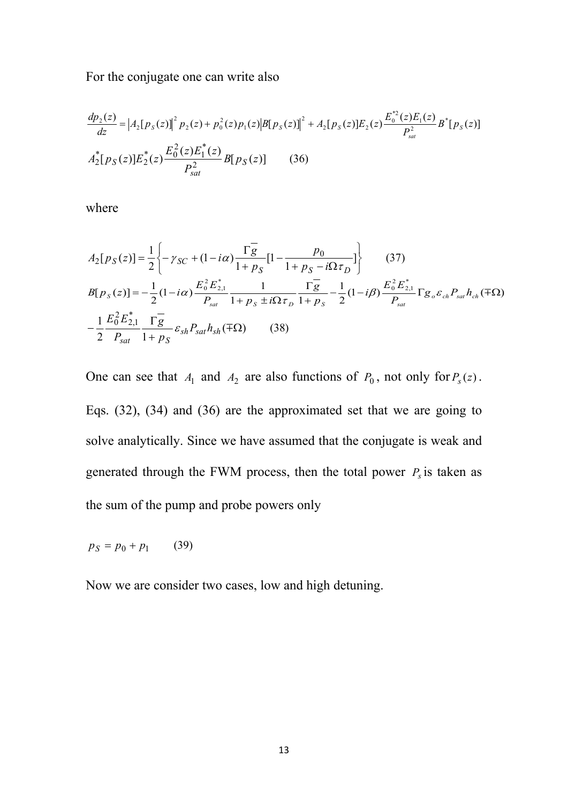For the conjugate one can write also

$$
\frac{dp_2(z)}{dz} = |A_2[p_S(z)]|^2 p_2(z) + p_0^2(z)p_1(z)|B[p_S(z)]|^2 + A_2[p_S(z)]E_2(z)\frac{E_0^{*2}(z)E_1(z)}{P_{sat}^2}B^*[p_S(z)]
$$
  

$$
A_2^*[p_S(z)]E_2^*(z)\frac{E_0^2(z)E_1^*(z)}{P_{sat}^2}B[p_S(z)] \qquad (36)
$$

where

$$
A_{2}[p_{S}(z)] = \frac{1}{2} \left\{ -\gamma_{SC} + (1 - i\alpha) \frac{\Gamma_{g}^{2}}{1 + p_{S}} [1 - \frac{p_{0}}{1 + p_{S} - i\Omega \tau_{D}}] \right\}
$$
(37)  
\n
$$
B[p_{S}(z)] = -\frac{1}{2} (1 - i\alpha) \frac{E_{0}^{2} E_{2,1}^{*}}{P_{sat}} \frac{1}{1 + p_{S} \pm i\Omega \tau_{D}} \frac{\Gamma_{g}^{2}}{1 + p_{S} - 2} - \frac{1}{2} (1 - i\beta) \frac{E_{0}^{2} E_{2,1}^{*}}{P_{sat}} \Gamma g_{0} \varepsilon_{ch} P_{sat} h_{ch} (\mp \Omega)
$$
  
\n
$$
-\frac{1}{2} \frac{E_{0}^{2} E_{2,1}^{*}}{P_{sat}} \frac{\Gamma_{g}^{2}}{1 + p_{S}} \varepsilon_{sh} P_{sat} h_{sh} (\mp \Omega)
$$
(38)

One can see that  $A_1$  and  $A_2$  are also functions of  $P_0$ , not only for  $P_s(z)$ . Eqs. (32), (34) and (36) are the approximated set that we are going to solve analytically. Since we have assumed that the conjugate is weak and generated through the FWM process, then the total power  $P<sub>s</sub>$  is taken as the sum of the pump and probe powers only

$$
p_S = p_0 + p_1 \qquad (39)
$$

Now we are consider two cases, low and high detuning.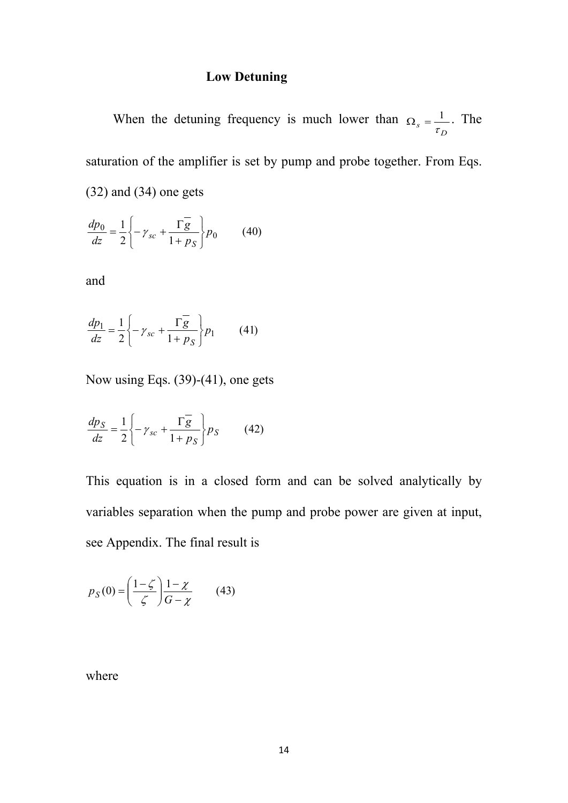### **Low Detuning**

When the detuning frequency is much lower than  $\Omega_{\rm s} = \frac{1}{\pi}$ . The  $\Omega_s = \frac{1}{\tau_D}$ . The saturation of the amplifier is set by pump and probe together. From Eqs. (32) and (34) one gets

$$
\frac{dp_0}{dz} = \frac{1}{2} \left\{ -\gamma_{sc} + \frac{\Gamma \overline{g}}{1 + \rho_S} \right\} p_0 \tag{40}
$$

and

$$
\frac{dp_1}{dz} = \frac{1}{2} \left\{ -\gamma_{sc} + \frac{\Gamma \overline{g}}{1 + \rho_S} \right\} p_1 \qquad (41)
$$

Now using Eqs. (39)-(41), one gets

$$
\frac{dp_S}{dz} = \frac{1}{2} \left\{ -\gamma_{sc} + \frac{\Gamma \overline{g}}{1 + \rho_S} \right\} p_S \tag{42}
$$

This equation is in a closed form and can be solved analytically by variables separation when the pump and probe power are given at input, see Appendix. The final result is

$$
p_S(0) = \left(\frac{1-\zeta}{\zeta}\right) \frac{1-\chi}{G-\chi} \qquad (43)
$$

where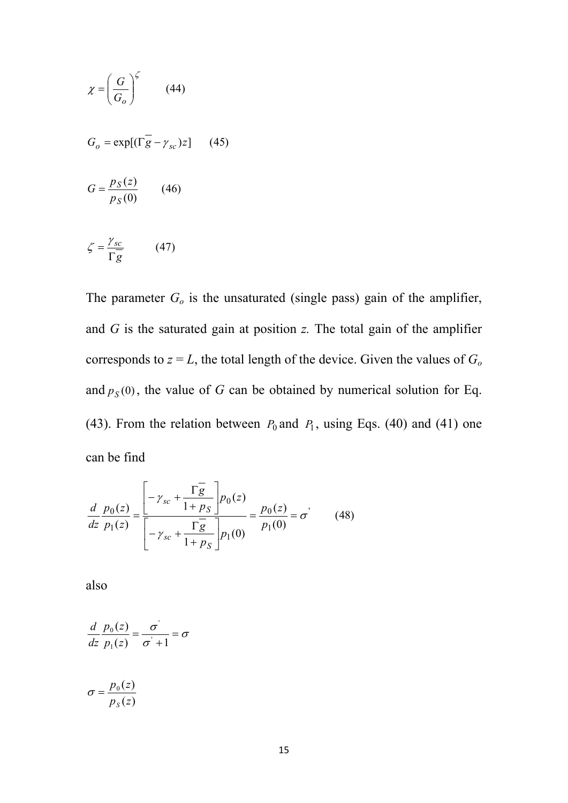$$
\chi = \left(\frac{G}{G_o}\right)^{\zeta} \qquad (44)
$$
  
\n
$$
G_o = \exp[(\Gamma \overline{g} - \gamma_{sc})z] \qquad (45)
$$
  
\n
$$
G = \frac{p_S(z)}{p_S(0)} \qquad (46)
$$
  
\n
$$
\zeta = \frac{\gamma_{sc}}{\Gamma \overline{g}} \qquad (47)
$$

The parameter *G<sup>o</sup>* is the unsaturated (single pass) gain of the amplifier, and *G* is the saturated gain at position *z.* The total gain of the amplifier corresponds to  $z = L$ , the total length of the device. Given the values of  $G<sub>o</sub>$ and  $p_S(0)$ , the value of *G* can be obtained by numerical solution for Eq. (43). From the relation between  $P_0$  and  $P_1$ , using Eqs. (40) and (41) one can be find

$$
\frac{d}{dz} \frac{p_0(z)}{p_1(z)} = \frac{\left[ -\gamma_{sc} + \frac{\Gamma \overline{g}}{1 + p_S} \right] p_0(z)}{\left[ -\gamma_{sc} + \frac{\Gamma \overline{g}}{1 + p_S} \right] p_1(0)} = \frac{p_0(z)}{p_1(0)} = \sigma' \qquad (48)
$$

 $\Gamma g$  and  $\Gamma$ 

also

$$
\frac{d}{dz}\frac{p_0(z)}{p_1(z)} = \frac{\sigma'}{\sigma' + 1} = \sigma
$$
\n
$$
\sigma = \frac{p_0(z)}{\sigma'}
$$

$$
p_{S}(z)
$$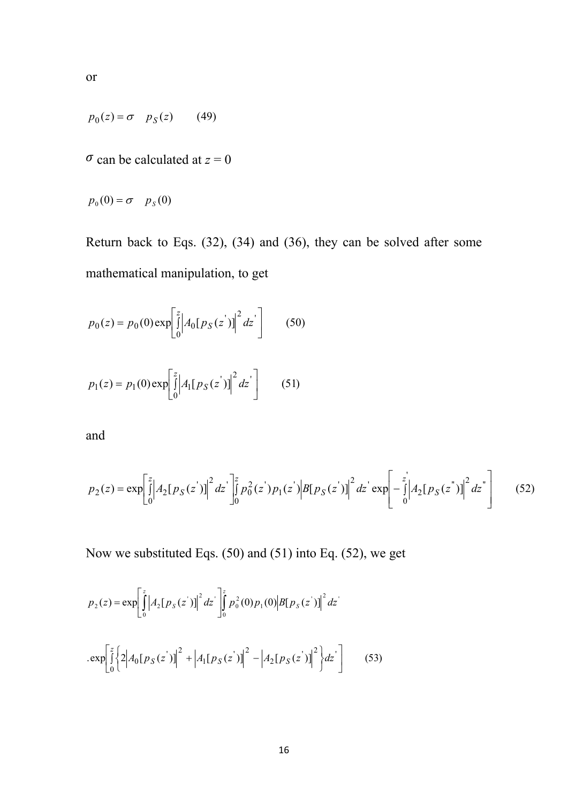$$
\overline{or}
$$

$$
p_0(z) = \sigma \quad p_S(z) \tag{49}
$$

 $\sigma$  can be calculated at  $z = 0$ 

$$
p_0(0) = \sigma \quad p_S(0)
$$

Return back to Eqs. (32), (34) and (36), they can be solved after some mathematical manipulation, to get

$$
p_0(z) = p_0(0) \exp\left[\int_0^z \left| A_0[p_S(z')] \right|^2 dz'\right]
$$
 (50)  

$$
p_1(z) = p_1(0) \exp\left[\int_0^z \left| A_1[p_S(z')] \right|^2 dz'\right]
$$
 (51)

and

$$
p_2(z) = \exp\left[\int_0^z \left| A_2[p_S(z')] \right|^2 dz'\right]_0^z p_0^2(z') p_1(z') \left| B[p_S(z')] \right|^2 dz' \exp\left[ -\int_0^z \left| A_2[p_S(z')] \right|^2 dz'\right] \tag{52}
$$

 $\mathbf{J}$  and  $\mathbf{J}$  are all  $\mathbf{J}$  and  $\mathbf{J}$  are all  $\mathbf{J}$ 

Now we substituted Eqs. (50) and (51) into Eq. (52), we get

 $0'$   $\qquad \qquad$   $\qquad \qquad$ 

 $|J|A_1[P_S(z)]|dz$  (51)  $\begin{bmatrix} 0 & 1 & 1 & 1 & 1 \\ 0 & 0 & 1 & 1 & 1 \end{bmatrix}$ 

$$
p_2(z) = \exp\left[\int_0^z \left|A_2[p_S(z')] \right|^2 dz'\right]_0^z p_0^2(0) p_1(0) \left|B[p_S(z')] \right|^2 dz'
$$
  
. 
$$
\exp\left[\int_0^z \left\{2\left|A_0[p_S(z')] \right|^2 + \left|A_1[p_S(z')] \right|^2 - \left|A_2[p_S(z')] \right|^2\right\} dz'\right]
$$
(53)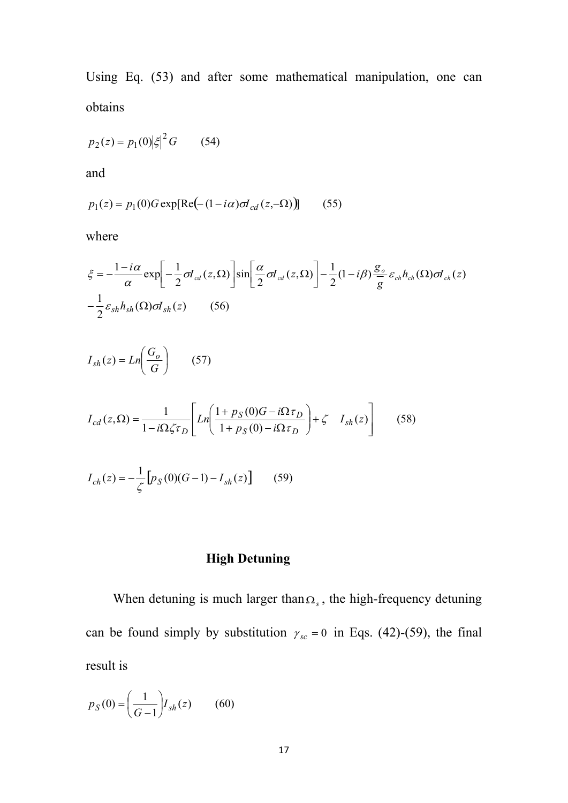Using Eq. (53) and after some mathematical manipulation, one can obtains

$$
p_2(z) = p_1(0)|\xi|^2 G \qquad (54)
$$

and

$$
p_1(z) = p_1(0)G \exp[Re(-(1 - i\alpha)\sigma I_{cd}(z, -\Omega))]
$$
 (55)

where

$$
\xi = -\frac{1 - i\alpha}{\alpha} \exp\left[-\frac{1}{2}\sigma I_{cd}(z,\Omega)\right] \sin\left[\frac{\alpha}{2}\sigma I_{cd}(z,\Omega)\right] - \frac{1}{2}(1 - i\beta) \frac{g_o}{g} \varepsilon_{ch} h_{ch}(\Omega) \sigma I_{ch}(z)
$$

$$
-\frac{1}{2}\varepsilon_{sh} h_{sh}(\Omega) \sigma I_{sh}(z) \qquad (56)
$$

$$
I_{sh}(z) = Ln\left(\frac{G_o}{G}\right) \tag{57}
$$

$$
I_{cd}(z,\Omega) = \frac{1}{1 - i\Omega \zeta \tau_D} \left[ Ln \left( \frac{1 + p_S(0)G - i\Omega \tau_D}{1 + p_S(0) - i\Omega \tau_D} \right) + \zeta \quad I_{sh}(z) \right] \tag{58}
$$

$$
I_{ch}(z) = -\frac{1}{\zeta} \Big[ p_S(0)(G-1) - I_{sh}(z) \Big] \tag{59}
$$

# **High Detuning**

When detuning is much larger than  $\Omega_s$ , the high-frequency detuning can be found simply by substitution  $\gamma_{sc} = 0$  in Eqs. (42)-(59), the final result is

$$
p_S(0) = \left(\frac{1}{G-1}\right)I_{sh}(z) \tag{60}
$$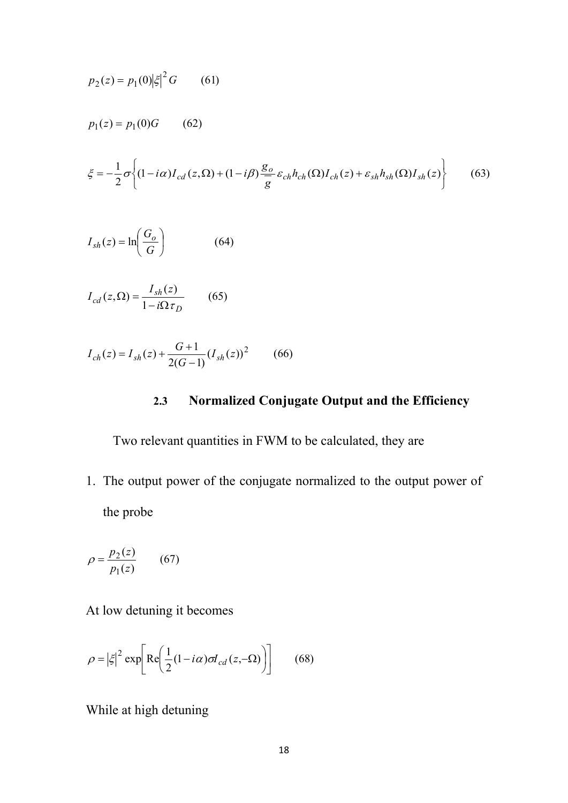$$
p_2(z) = p_1(0)|\xi|^2 G \qquad (61)
$$
  
\n
$$
p_1(z) = p_1(0)G \qquad (62)
$$
  
\n
$$
\xi = -\frac{1}{2}\sigma \left\{ (1 - i\alpha)I_{cd}(z,\Omega) + (1 - i\beta) \frac{g_o}{g} \varepsilon_{ch} h_{ch}(\Omega) I_{ch}(z) + \varepsilon_{sh} h_{sh}(\Omega) I_{sh}(z) \right\} \qquad (63)
$$
  
\n
$$
I_{sh}(z) = \ln \left( \frac{G_o}{G} \right) \qquad (64)
$$
  
\n
$$
I_{cd}(z,\Omega) = \frac{I_{sh}(z)}{1 - i\Omega \tau_D} \qquad (65)
$$

$$
I_{ch}(z) = I_{sh}(z) + \frac{G+1}{2(G-1)}(I_{sh}(z))^2
$$
 (66)

### **2.3 Normalized Conjugate Output and the Efficiency**

Two relevant quantities in FWM to be calculated, they are

*D*

1. The output power of the conjugate normalized to the output power of the probe

$$
\rho = \frac{p_2(z)}{p_1(z)}\tag{67}
$$

At low detuning it becomes

$$
\rho = |\xi|^2 \exp\left[ \text{Re}\left(\frac{1}{2}(1 - i\alpha)\sigma I_{cd}(z, -\Omega)\right) \right]
$$
 (68)

While at high detuning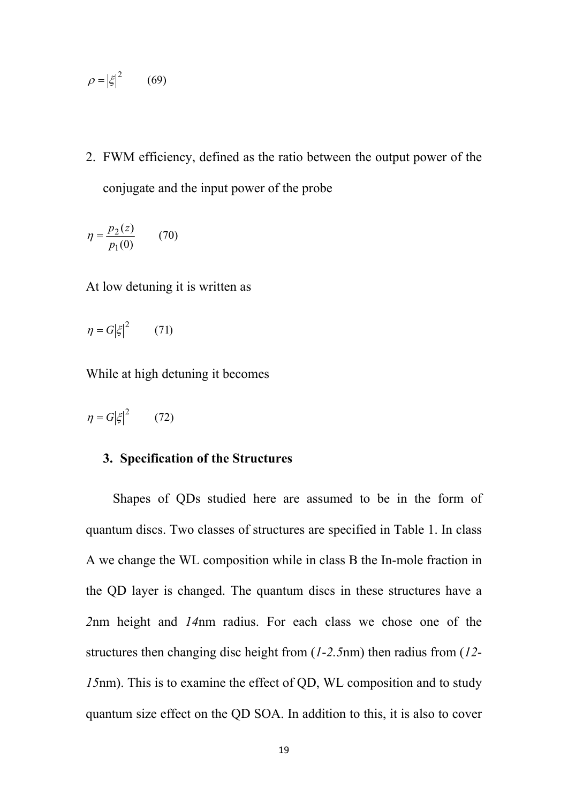$$
\rho = |\xi|^2 \qquad (69)
$$

2. FWM efficiency, defined as the ratio between the output power of the conjugate and the input power of the probe

$$
\eta = \frac{p_2(z)}{p_1(0)}\tag{70}
$$

At low detuning it is written as

$$
\eta = G |\xi|^2 \qquad (71)
$$

While at high detuning it becomes

$$
\eta = G |\xi|^2 \qquad (72)
$$

#### **3. Specification of the Structures**

Shapes of QDs studied here are assumed to be in the form of quantum discs. Two classes of structures are specified in Table 1. In class A we change the WL composition while in class B the In-mole fraction in the QD layer is changed. The quantum discs in these structures have a *2*nm height and *14*nm radius. For each class we chose one of the structures then changing disc height from (*1*-*2.5*nm) then radius from (*12*- *15*nm). This is to examine the effect of QD, WL composition and to study quantum size effect on the QD SOA. In addition to this, it is also to cover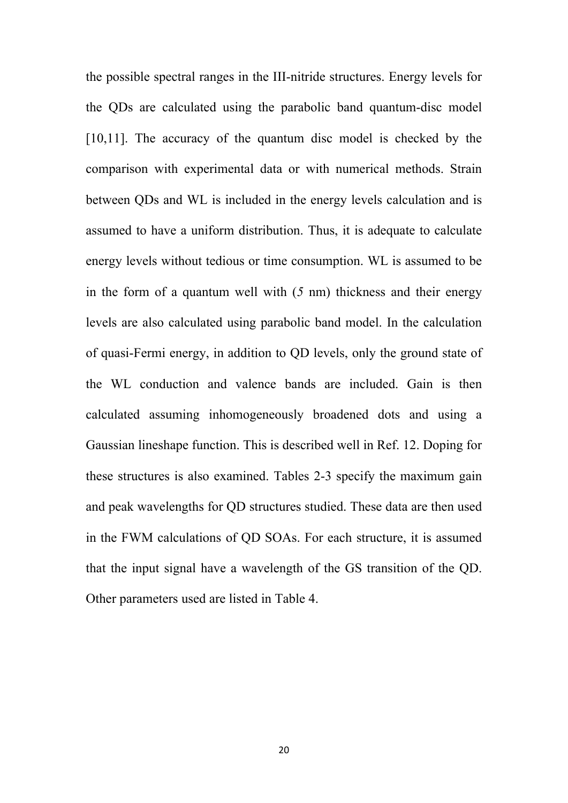the possible spectral ranges in the III-nitride structures. Energy levels for the QDs are calculated using the parabolic band quantum-disc model [10,11]. The accuracy of the quantum disc model is checked by the comparison with experimental data or with numerical methods. Strain between QDs and WL is included in the energy levels calculation and is assumed to have a uniform distribution. Thus, it is adequate to calculate energy levels without tedious or time consumption. WL is assumed to be in the form of a quantum well with (*5* nm) thickness and their energy levels are also calculated using parabolic band model. In the calculation of quasi-Fermi energy, in addition to QD levels, only the ground state of the WL conduction and valence bands are included. Gain is then calculated assuming inhomogeneously broadened dots and using a Gaussian lineshape function. This is described well in Ref. 12. Doping for these structures is also examined. Tables 2-3 specify the maximum gain and peak wavelengths for QD structures studied. These data are then used in the FWM calculations of QD SOAs. For each structure, it is assumed that the input signal have a wavelength of the GS transition of the QD. Other parameters used are listed in Table 4.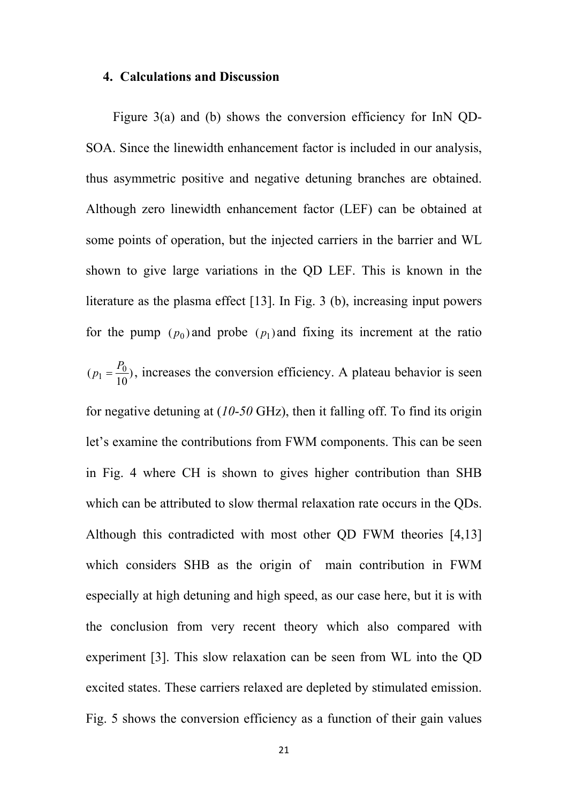#### **4. Calculations and Discussion**

Figure 3(a) and (b) shows the conversion efficiency for InN QD-SOA. Since the linewidth enhancement factor is included in our analysis, thus asymmetric positive and negative detuning branches are obtained. Although zero linewidth enhancement factor (LEF) can be obtained at some points of operation, but the injected carriers in the barrier and WL shown to give large variations in the QD LEF. This is known in the literature as the plasma effect [13]. In Fig. 3 (b), increasing input powers for the pump  $(p_0)$  and probe  $(p_1)$  and fixing its increment at the ratio ), increases the conversion efficiency. A plateau behavior is seen 10  $(p_1 = \frac{F_0}{10})$ , increases the conversi  $p_1 = \frac{P_0}{I_0}$ , increases the conversion efficiency. for negative detuning at (*10*-*50* GHz), then it falling off. To find its origin let's examine the contributions from FWM components. This can be seen in Fig. 4 where CH is shown to gives higher contribution than SHB which can be attributed to slow thermal relaxation rate occurs in the QDs. Although this contradicted with most other QD FWM theories [4,13] which considers SHB as the origin of main contribution in FWM especially at high detuning and high speed, as our case here, but it is with the conclusion from very recent theory which also compared with experiment [3]. This slow relaxation can be seen from WL into the QD excited states. These carriers relaxed are depleted by stimulated emission. Fig. 5 shows the conversion efficiency as a function of their gain values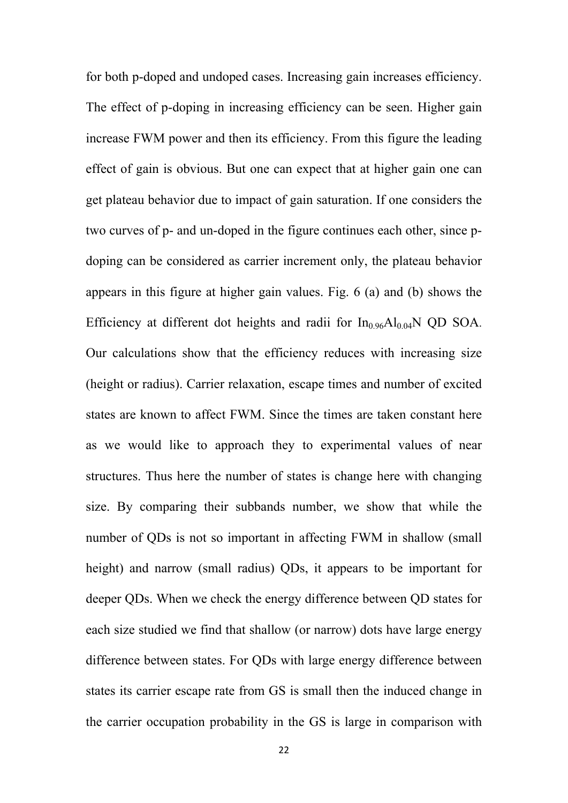for both p-doped and undoped cases. Increasing gain increases efficiency. The effect of p-doping in increasing efficiency can be seen. Higher gain increase FWM power and then its efficiency. From this figure the leading effect of gain is obvious. But one can expect that at higher gain one can get plateau behavior due to impact of gain saturation. If one considers the two curves of p- and un-doped in the figure continues each other, since pdoping can be considered as carrier increment only, the plateau behavior appears in this figure at higher gain values. Fig. 6 (a) and (b) shows the Efficiency at different dot heights and radii for  $In_{0.96}Al_{0.04}N$  QD SOA. Our calculations show that the efficiency reduces with increasing size (height or radius). Carrier relaxation, escape times and number of excited states are known to affect FWM. Since the times are taken constant here as we would like to approach they to experimental values of near structures. Thus here the number of states is change here with changing size. By comparing their subbands number, we show that while the number of QDs is not so important in affecting FWM in shallow (small height) and narrow (small radius) QDs, it appears to be important for deeper QDs. When we check the energy difference between QD states for each size studied we find that shallow (or narrow) dots have large energy difference between states. For QDs with large energy difference between states its carrier escape rate from GS is small then the induced change in the carrier occupation probability in the GS is large in comparison with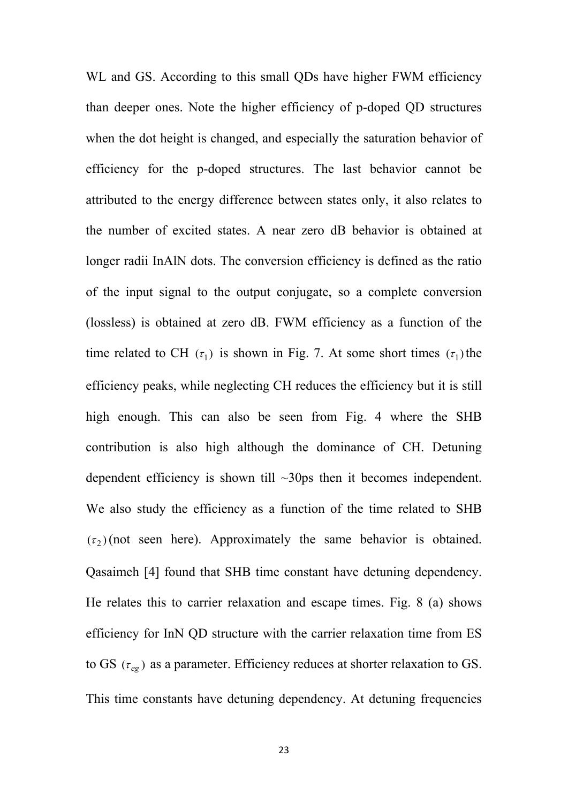WL and GS. According to this small QDs have higher FWM efficiency than deeper ones. Note the higher efficiency of p-doped QD structures when the dot height is changed, and especially the saturation behavior of efficiency for the p-doped structures. The last behavior cannot be attributed to the energy difference between states only, it also relates to the number of excited states. A near zero dB behavior is obtained at longer radii InAlN dots. The conversion efficiency is defined as the ratio of the input signal to the output conjugate, so a complete conversion (lossless) is obtained at zero dB. FWM efficiency as a function of the time related to CH  $(\tau_1)$  is shown in Fig. 7. At some short times  $(\tau_1)$  the efficiency peaks, while neglecting CH reduces the efficiency but it is still high enough. This can also be seen from Fig. 4 where the SHB contribution is also high although the dominance of CH. Detuning dependent efficiency is shown till  $\sim$ 30ps then it becomes independent. We also study the efficiency as a function of the time related to SHB  $(\tau_2)$  (not seen here). Approximately the same behavior is obtained. Qasaimeh [4] found that SHB time constant have detuning dependency. He relates this to carrier relaxation and escape times. Fig. 8 (a) shows efficiency for InN QD structure with the carrier relaxation time from ES to GS ( $\tau_{eg}$ ) as a parameter. Efficiency reduces at shorter relaxation to GS. This time constants have detuning dependency. At detuning frequencies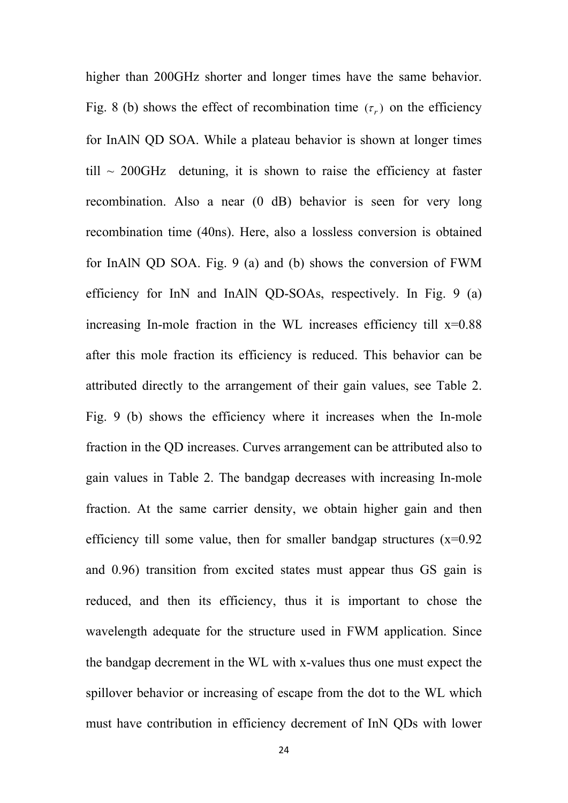higher than 200GHz shorter and longer times have the same behavior. Fig. 8 (b) shows the effect of recombination time  $(\tau_r)$  on the efficiency for InAlN QD SOA. While a plateau behavior is shown at longer times  $\text{till} \sim 200 \text{GHz}$  detuning, it is shown to raise the efficiency at faster recombination. Also a near (0 dB) behavior is seen for very long recombination time (40ns). Here, also a lossless conversion is obtained for InAlN QD SOA. Fig. 9 (a) and (b) shows the conversion of FWM efficiency for InN and InAlN QD-SOAs, respectively. In Fig. 9 (a) increasing In-mole fraction in the WL increases efficiency till  $x=0.88$ after this mole fraction its efficiency is reduced. This behavior can be attributed directly to the arrangement of their gain values, see Table 2. Fig. 9 (b) shows the efficiency where it increases when the In-mole fraction in the QD increases. Curves arrangement can be attributed also to gain values in Table 2. The bandgap decreases with increasing In-mole fraction. At the same carrier density, we obtain higher gain and then efficiency till some value, then for smaller bandgap structures  $(x=0.92)$ and 0.96) transition from excited states must appear thus GS gain is reduced, and then its efficiency, thus it is important to chose the wavelength adequate for the structure used in FWM application. Since the bandgap decrement in the WL with x-values thus one must expect the spillover behavior or increasing of escape from the dot to the WL which must have contribution in efficiency decrement of InN QDs with lower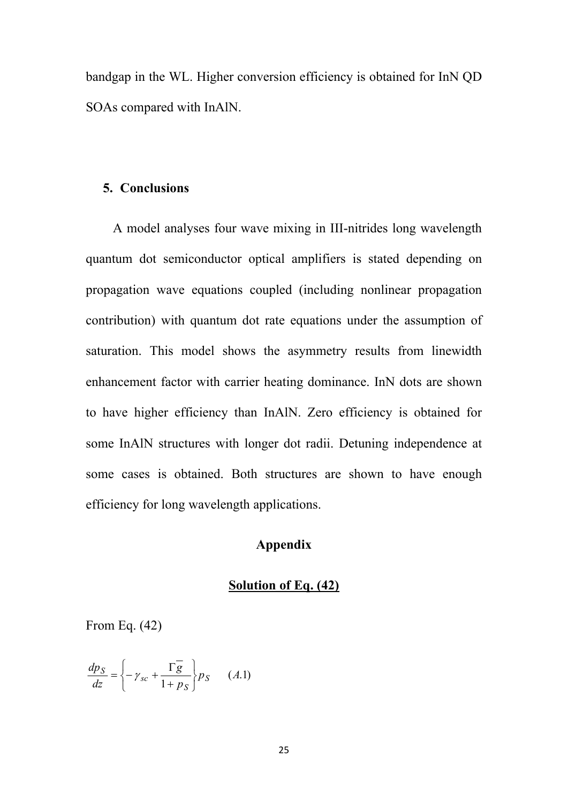bandgap in the WL. Higher conversion efficiency is obtained for InN QD SOAs compared with InAlN.

### **5. Conclusions**

A model analyses four wave mixing in III-nitrides long wavelength quantum dot semiconductor optical amplifiers is stated depending on propagation wave equations coupled (including nonlinear propagation contribution) with quantum dot rate equations under the assumption of saturation. This model shows the asymmetry results from linewidth enhancement factor with carrier heating dominance. InN dots are shown to have higher efficiency than InAlN. Zero efficiency is obtained for some InAlN structures with longer dot radii. Detuning independence at some cases is obtained. Both structures are shown to have enough efficiency for long wavelength applications.

### **Appendix**

### **Solution of Eq. (42)**

From Eq. (42)

$$
\frac{dp_S}{dz} = \left\{-\gamma_{sc} + \frac{\Gamma \overline{g}}{1 + p_S}\right\} p_S \qquad (A.1)
$$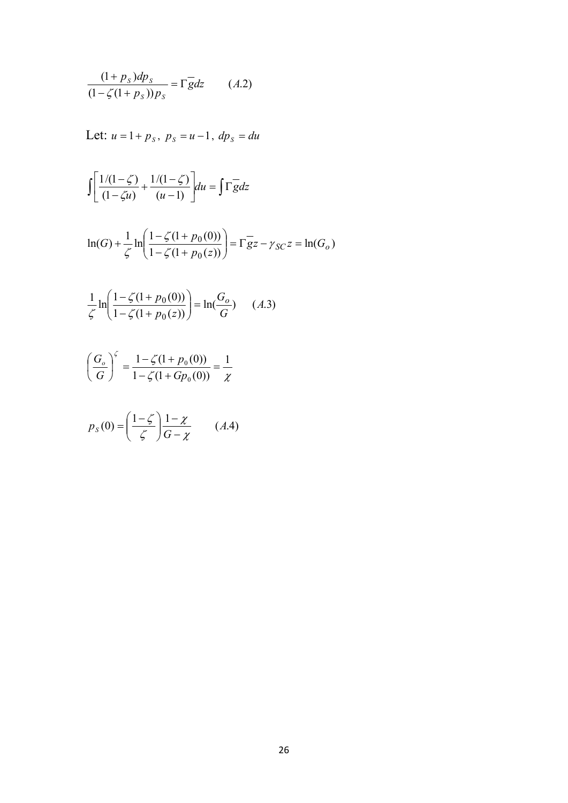$$
\frac{(1+p_s)dp_s}{(1-\zeta(1+p_s))p_s} = \Gamma \overline{g}dz \qquad (A.2)
$$

Let: 
$$
u = 1 + p_s
$$
,  $p_s = u - 1$ ,  $dp_s = du$ 

$$
\int \left[ \frac{1/(1-\zeta)}{(1-\zeta u)} + \frac{1/(1-\zeta)}{(u-1)} \right] du = \int \Gamma \overline{g} dz
$$

$$
\ln(G) + \frac{1}{\zeta} \ln\left(\frac{1 - \zeta(1 + p_0(0))}{1 - \zeta(1 + p_0(z))}\right) = \Gamma g^{-1} z - \gamma_{SC} z = \ln(G_o)
$$

$$
\frac{1}{\zeta} \ln \left( \frac{1 - \zeta (1 + p_0(0))}{1 - \zeta (1 + p_0(z))} \right) = \ln \left( \frac{G_o}{G} \right) \tag{A.3}
$$

$$
\left(\frac{G_o}{G}\right)^{\zeta} = \frac{1 - \zeta(1 + p_0(0))}{1 - \zeta(1 + G p_0(0))} = \frac{1}{\chi}
$$

$$
p_S(0) = \left(\frac{1-\zeta}{\zeta}\right)\frac{1-\chi}{G-\chi} \qquad (A.4)
$$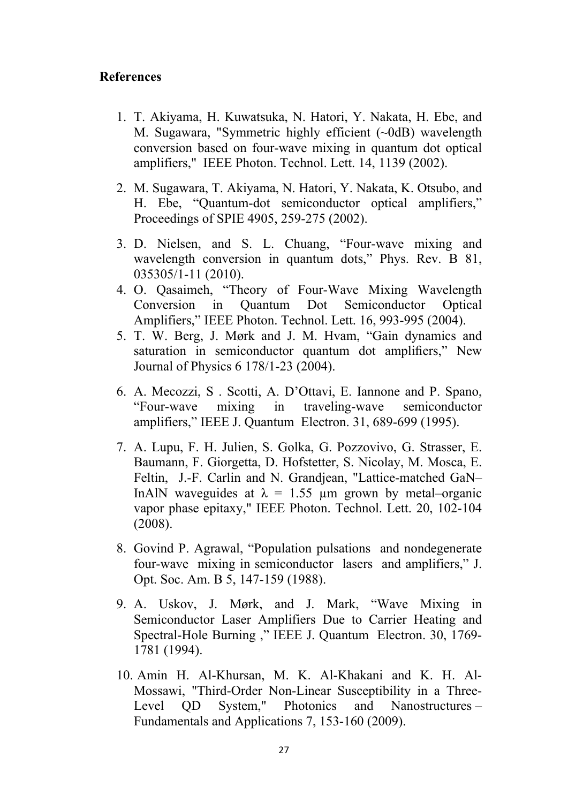### **References**

- 1. T. Akiyama, H. Kuwatsuka, N. Hatori, Y. Nakata, H. Ebe, and M. Sugawara, "Symmetric highly efficient (~0dB) wavelength conversion based on four-wave mixing in quantum dot optical amplifiers," IEEE Photon. Technol. Lett. 14, 1139 (2002).
- 2. M. Sugawara, T. Akiyama, N. Hatori, Y. Nakata, K. Otsubo, and H. Ebe, "Quantum-dot semiconductor optical amplifiers," Proceedings of SPIE 4905, 259-275 (2002).
- 3. D. Nielsen, and S. L. Chuang, "Four-wave mixing and wavelength conversion in quantum dots," Phys. Rev. B 81, 035305/1-11 (2010).
- 4. O. Qasaimeh, "Theory of Four-Wave Mixing Wavelength Conversion in Quantum Dot Semiconductor Optical Amplifiers," IEEE Photon. Technol. Lett. 16, 993-995 (2004).
- 5. T. W. Berg, J. Mørk and J. M. Hvam, "Gain dynamics and saturation in semiconductor quantum dot amplifiers," New Journal of Physics 6 178/1-23 (2004).
- 6. A. Mecozzi, S . Scotti, A. D'Ottavi, E. Iannone and P. Spano, "Four-wave mixing in traveling-wave semiconductor amplifiers," IEEE J. Quantum Electron. 31, 689-699 (1995).
- 7. A. Lupu, F. H. Julien, S. Golka, G. Pozzovivo, G. Strasser, E. Baumann, F. Giorgetta, D. Hofstetter, S. Nicolay, M. Mosca, E. Feltin, J.-F. Carlin and N. Grandjean, "Lattice-matched GaN– InAlN waveguides at  $\lambda = 1.55$  µm grown by metal–organic vapor phase epitaxy," IEEE Photon. Technol. Lett. 20, 102-104 (2008).
- 8. Govind P. Agrawal, "Population pulsations and nondegenerate four-wave mixing in semiconductor lasers and amplifiers," J. Opt. Soc. Am. B 5, 147-159 (1988).
- 9. A. Uskov, J. Mørk, and J. Mark, "Wave Mixing in Semiconductor Laser Amplifiers Due to Carrier Heating and Spectral-Hole Burning ," IEEE J. Quantum Electron. 30, 1769- 1781 (1994).
- 10. Amin H. Al-Khursan, M. K. Al-Khakani and K. H. Al-Mossawi, "Third-Order Non-Linear Susceptibility in a Three-Level QD System," Photonics and Nanostructures – Fundamentals and Applications 7, 153-160 (2009).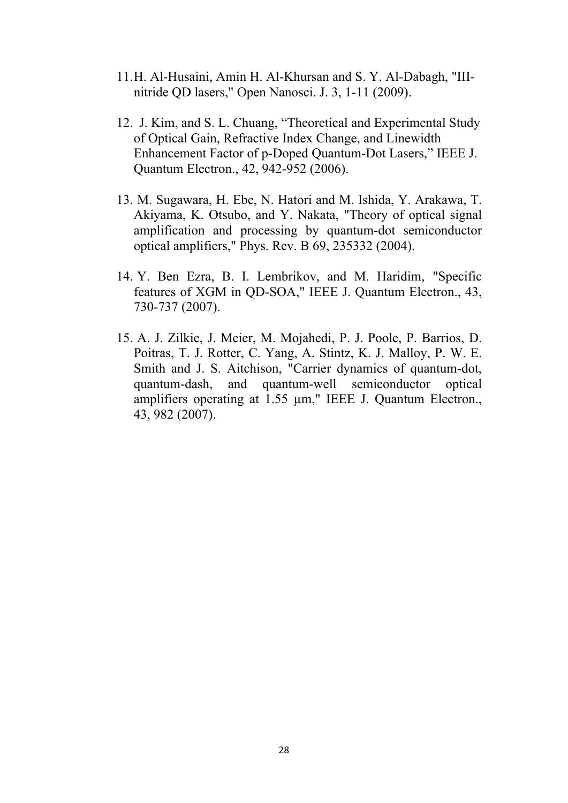- 11.H. Al-Husaini, Amin H. Al-Khursan and S. Y. Al-Dabagh, "IIInitride QD lasers," Open Nanosci. J. 3, 1-11 (2009).
- 12. J. Kim, and S. L. Chuang, "Theoretical and Experimental Study of Optical Gain, Refractive Index Change, and Linewidth Enhancement Factor of p-Doped Quantum-Dot Lasers," IEEE J. Quantum Electron., 42, 942-952 (2006).
- 13. M. Sugawara, H. Ebe, N. Hatori and M. Ishida, Y. Arakawa, T. Akiyama, K. Otsubo, and Y. Nakata, "Theory of optical signal amplification and processing by quantum-dot semiconductor optical amplifiers," Phys. Rev. B 69, 235332 (2004).
- 14. Y. Ben Ezra, B. I. Lembrikov, and M. Haridim, "Specific features of XGM in QD-SOA," IEEE J. Quantum Electron., 43, 730-737 (2007).
- 15. A. J. Zilkie, J. Meier, M. Mojahedi, P. J. Poole, P. Barrios, D. Poitras, T. J. Rotter, C. Yang, A. Stintz, K. J. Malloy, P. W. E. Smith and J. S. Aitchison, "Carrier dynamics of quantum-dot, quantum-dash, and quantum-well semiconductor optical amplifiers operating at 1.55  $\mu$ m," IEEE J. Quantum Electron., 43, 982 (2007).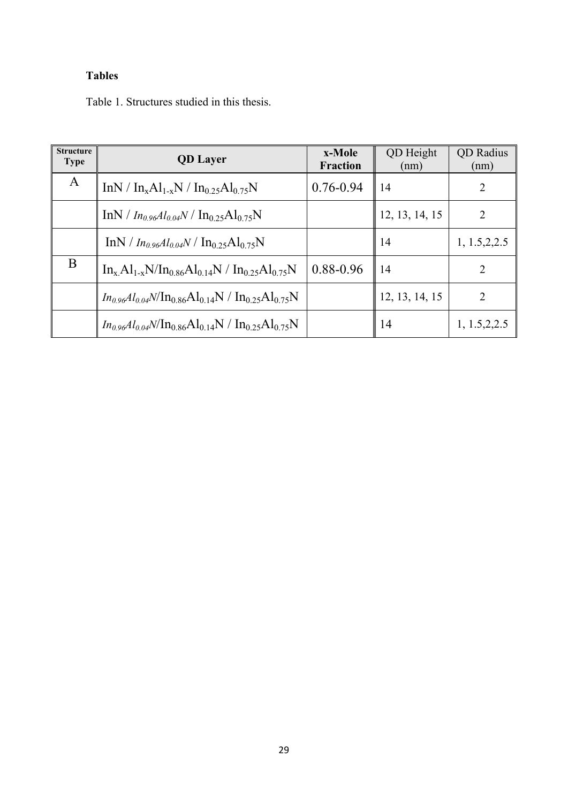### **Tables**

Table 1. Structures studied in this thesis.

| <b>Structure</b><br><b>Type</b> | <b>QD</b> Layer                                                                                         | x-Mole<br><b>Fraction</b> | QD Height<br>(nm) | <b>QD</b> Radius<br>(nm) |
|---------------------------------|---------------------------------------------------------------------------------------------------------|---------------------------|-------------------|--------------------------|
| A                               | $InN / In_xAl_{1-x}N / In_{0.25}Al_{0.75}N$                                                             | $0.76 - 0.94$             | 14                | 2                        |
|                                 | $\text{InN}/I_{n_0}$ <sub>96</sub> Al <sub>0.04</sub> N / $\text{In}_{0.25}\text{Al}_{0.75}\text{N}$    |                           | 12, 13, 14, 15    | 2                        |
|                                 | $\text{InN}/I_{n_0,96}Al_{0,04}N/\text{In}_{0,25}\text{Al}_{0,75}\text{N}$                              |                           | 14                | 1, 1.5, 2, 2.5           |
| B                               | $In_x Al_{1-x}N/In_{0.86}Al_{0.14}N/In_{0.25}Al_{0.75}N$                                                | 0.88-0.96                 | 14                | $\mathfrak{D}$           |
|                                 | $In_{0.96}Al_{0.04}N/\text{In}_{0.86}\text{Al}_{0.14}\text{N}/\text{In}_{0.25}\text{Al}_{0.75}\text{N}$ |                           | 12, 13, 14, 15    | 2                        |
|                                 | $In_{0.96}Al_{0.04}N/\text{In}_{0.86}Al_{0.14}N/\text{In}_{0.25}Al_{0.75}N$                             |                           | 14                | 1, 1.5, 2, 2.5           |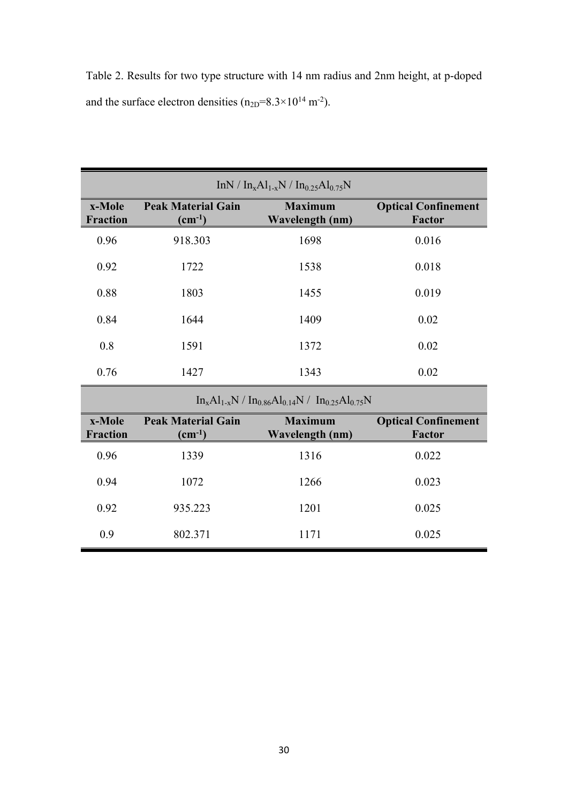| Table 2. Results for two type structure with 14 nm radius and 2nm height, at p-doped |  |  |  |  |  |  |
|--------------------------------------------------------------------------------------|--|--|--|--|--|--|
| and the surface electron densities $(n_{2D}=8.3\times10^{14} \text{ m}^{-2})$ .      |  |  |  |  |  |  |

|                           |                                          | $InN / In_xAl_{1-x}N / In_{0.25}Al_{0.75}N$                 |                                             |
|---------------------------|------------------------------------------|-------------------------------------------------------------|---------------------------------------------|
| x-Mole<br><b>Fraction</b> | <b>Peak Material Gain</b><br>$(cm^{-1})$ | <b>Maximum</b><br>Wavelength (nm)                           | <b>Optical Confinement</b><br><b>Factor</b> |
| 0.96                      | 918.303                                  | 1698                                                        | 0.016                                       |
| 0.92                      | 1722                                     | 1538                                                        | 0.018                                       |
| 0.88                      | 1803                                     | 1455                                                        | 0.019                                       |
| 0.84                      | 1644                                     | 1409                                                        | 0.02                                        |
| 0.8                       | 1591                                     | 1372                                                        | 0.02                                        |
| 0.76                      | 1427                                     | 1343                                                        | 0.02                                        |
|                           |                                          | $In_xAl_{1-x}N / In_{0.86}Al_{0.14}N / In_{0.25}Al_{0.75}N$ |                                             |

|                           |                                                 | $\text{III}_{\text{X}}\text{Al}_{\text{X}}\text{Al}_{\text{X}}$ / $\text{III}_{0}$ 86 $\text{Al}_{0}$ 1418 / $\text{III}_{0}$ 25 $\text{Al}_{0}$ 7518 |                                             |
|---------------------------|-------------------------------------------------|-------------------------------------------------------------------------------------------------------------------------------------------------------|---------------------------------------------|
| x-Mole<br><b>Fraction</b> | <b>Peak Material Gain</b><br>$\rm \, (cm^{-1})$ | <b>Maximum</b><br>Wavelength (nm)                                                                                                                     | <b>Optical Confinement</b><br><b>Factor</b> |
| 0.96                      | 1339                                            | 1316                                                                                                                                                  | 0.022                                       |
| 0.94                      | 1072                                            | 1266                                                                                                                                                  | 0.023                                       |
| 0.92                      | 935.223                                         | 1201                                                                                                                                                  | 0.025                                       |
| 0.9                       | 802.371                                         | 1171                                                                                                                                                  | 0.025                                       |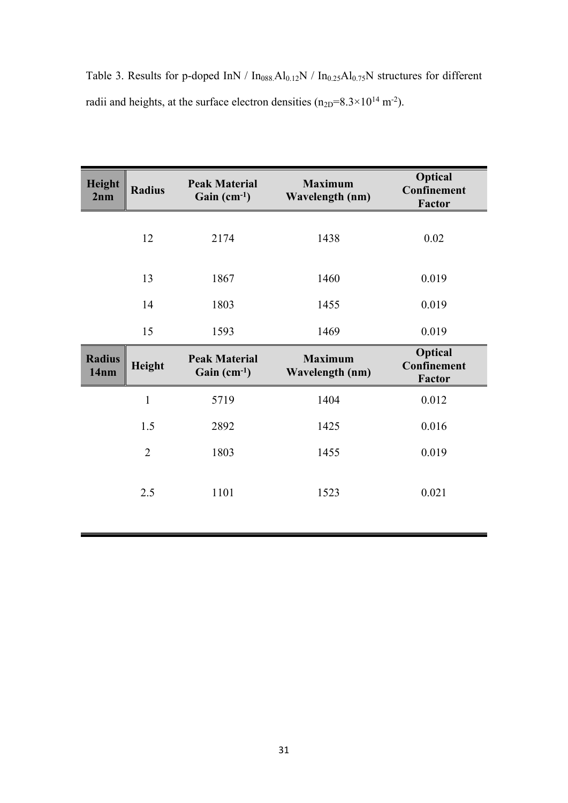Table 3. Results for p-doped InN /  $In<sub>088</sub>Al<sub>0.12</sub>N$  /  $In<sub>0.25</sub>Al<sub>0.75</sub>N$  structures for different radii and heights, at the surface electron densities  $(n_{2D}=8.3\times10^{14} \text{ m}^{-2})$ .

| Height<br>2nm         | <b>Radius</b>  | <b>Peak Material</b><br>Gain $(cm^{-1})$ | <b>Maximum</b><br><b>Wavelength (nm)</b> | <b>Optical</b><br>Confinement<br>Factor        |
|-----------------------|----------------|------------------------------------------|------------------------------------------|------------------------------------------------|
|                       | 12             | 2174                                     | 1438                                     | 0.02                                           |
|                       | 13             | 1867                                     | 1460                                     | 0.019                                          |
|                       | 14             | 1803                                     | 1455                                     | 0.019                                          |
|                       | 15             | 1593                                     | 1469                                     | 0.019                                          |
| <b>Radius</b><br>14nm | Height         | <b>Peak Material</b><br>Gain $(cm^{-1})$ | <b>Maximum</b><br>Wavelength (nm)        | <b>Optical</b><br>Confinement<br><b>Factor</b> |
|                       | $\mathbf{1}$   | 5719                                     | 1404                                     | 0.012                                          |
|                       | 1.5            | 2892                                     | 1425                                     | 0.016                                          |
|                       | $\overline{2}$ | 1803                                     | 1455                                     | 0.019                                          |
|                       | 2.5            | 1101                                     | 1523                                     | 0.021                                          |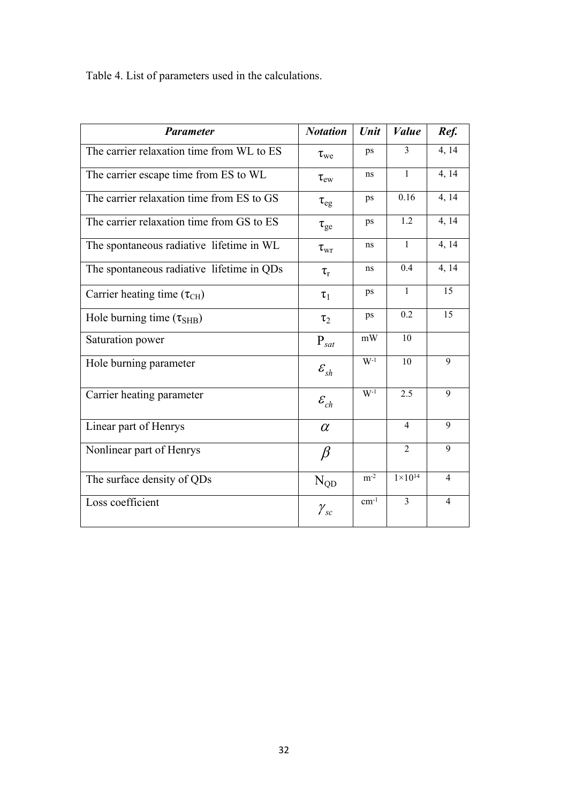Table 4. List of parameters used in the calculations.

| <b>Parameter</b>                          | <b>Notation</b>    | Unit     | <b>Value</b>       | Ref.           |
|-------------------------------------------|--------------------|----------|--------------------|----------------|
| The carrier relaxation time from WL to ES | $\tau_{\rm we}$    | ps       | 3                  | 4, 14          |
| The carrier escape time from ES to WL     | $\tau_{\rm ew}$    | ns       | $\mathbf{1}$       | 4, 14          |
| The carrier relaxation time from ES to GS | $\tau_{eg}$        | ps       | 0.16               | 4, 14          |
| The carrier relaxation time from GS to ES | $\tau_{\rm ge}$    | ps       | 1.2                | 4, 14          |
| The spontaneous radiative lifetime in WL  | $\tau_{\rm wr}$    | ns       | $\mathbf{1}$       | 4, 14          |
| The spontaneous radiative lifetime in QDs | $\tau_{\rm r}$     | ns       | 0.4                | 4, 14          |
| Carrier heating time $(\tau_{CH})$        | $\tau_1$           | ps       | $\mathbf{1}$       | 15             |
| Hole burning time $(\tau_{SHB})$          | $\tau_2$           | ps       | 0.2                | 15             |
| Saturation power                          | $P_{sat}$          | mW       | 10                 |                |
| Hole burning parameter                    | $\mathcal{E}_{sh}$ | $W-1$    | 10                 | 9              |
| Carrier heating parameter                 | $\mathcal{E}_{ch}$ | $W^{-1}$ | 2.5                | 9              |
| Linear part of Henrys                     | $\alpha$           |          | $\overline{4}$     | 9              |
| Nonlinear part of Henrys                  | $\beta$            |          | $\overline{2}$     | 9              |
| The surface density of QDs                | $N_{QD}$           | $m^{-2}$ | $1 \times 10^{14}$ | $\overline{4}$ |
| Loss coefficient                          | $\mathcal{Y}_{sc}$ | $cm-1$   | $\overline{3}$     | $\overline{4}$ |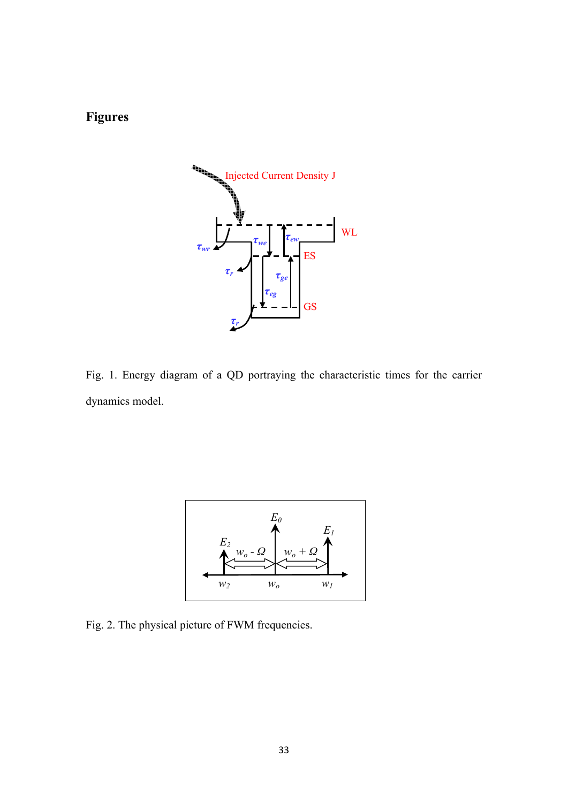# **Figures**



Fig. 1. Energy diagram of a QD portraying the characteristic times for the carrier dynamics model.



Fig. 2. The physical picture of FWM frequencies.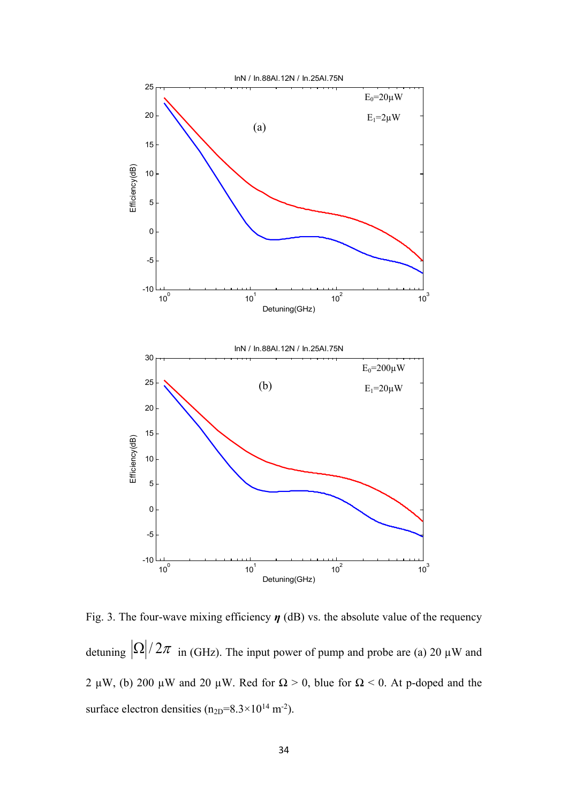

Fig. 3. The four-wave mixing efficiency *η* (dB) vs. the absolute value of the requency detuning  $\left|\Omega\right|/2\pi$  in (GHz). The input power of pump and probe are (a) 20 µW and 2 µW, (b) 200 µW and 20 µW. Red for  $\Omega > 0$ , blue for  $\Omega < 0$ . At p-doped and the surface electron densities  $(n_{2D}=8.3\times10^{14} \text{ m}^2)$ .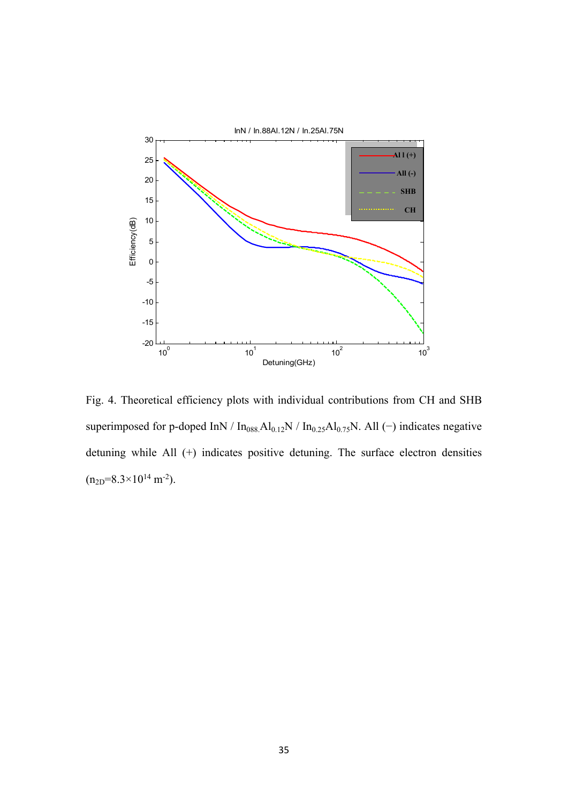

Fig. 4. Theoretical efficiency plots with individual contributions from CH and SHB superimposed for p-doped InN / In<sub>088.</sub>Al<sub>0.12</sub>N / In<sub>0.25</sub>Al<sub>0.75</sub>N. All (−) indicates negative detuning while All (+) indicates positive detuning. The surface electron densities  $(n_{2D}=8.3\times10^{14} \text{ m}^{-2}).$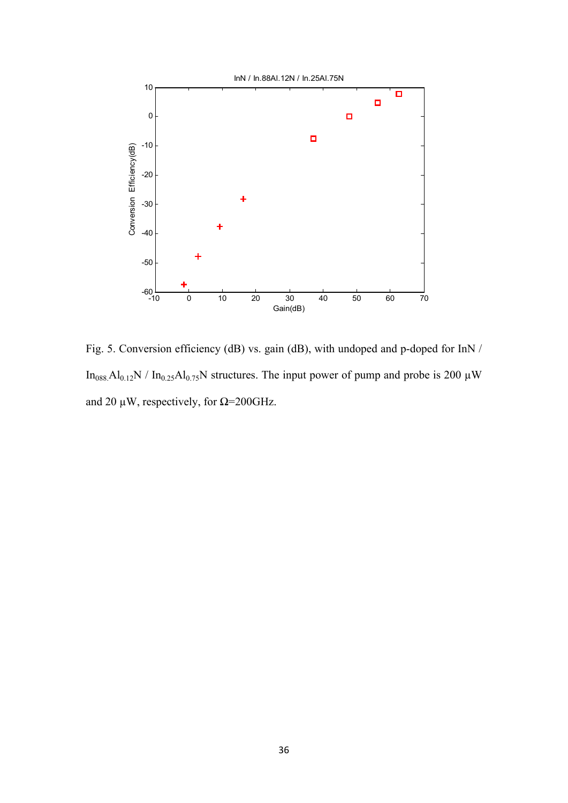

Fig. 5. Conversion efficiency (dB) vs. gain (dB), with undoped and p-doped for InN / In<sub>088.</sub>Al<sub>0.12</sub>N / In<sub>0.25</sub>Al<sub>0.75</sub>N structures. The input power of pump and probe is 200  $\mu$ W and 20  $\mu$ W, respectively, for  $\Omega$ =200GHz.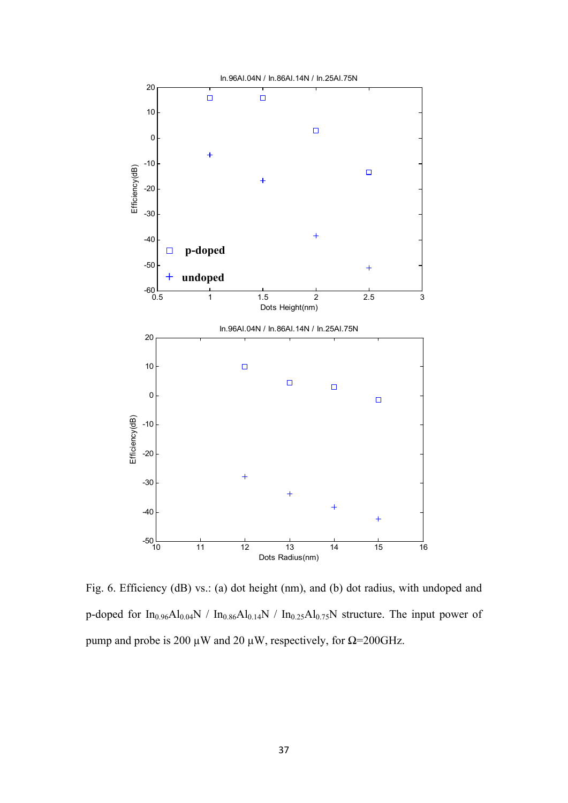

Fig. 6. Efficiency (dB) vs.: (a) dot height (nm), and (b) dot radius, with undoped and p-doped for  $In_{0.96}Al_{0.04}N$  /  $In_{0.86}Al_{0.14}N$  /  $In_{0.25}Al_{0.75}N$  structure. The input power of pump and probe is 200 μW and 20 μW, respectively, for  $Ω=200GHz$ .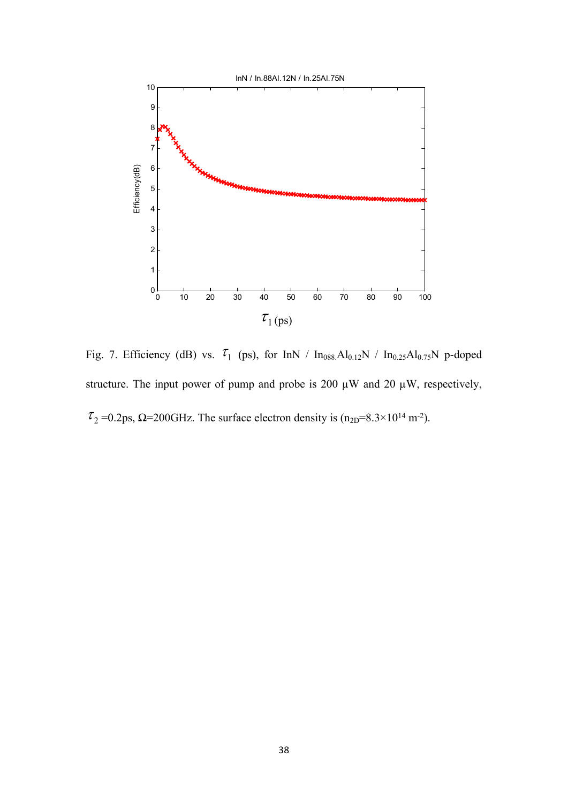

Fig. 7. Efficiency (dB) vs.  $\tau_1$  (ps), for InN / In<sub>088.</sub>Al<sub>0.12</sub>N / In<sub>0.25</sub>Al<sub>0.75</sub>N p-doped structure. The input power of pump and probe is 200  $\mu$ W and 20  $\mu$ W, respectively,  $\tau_2$  =0.2ps,  $\Omega$ =200GHz. The surface electron density is (n<sub>2D</sub>=8.3×10<sup>14</sup> m<sup>-2</sup>).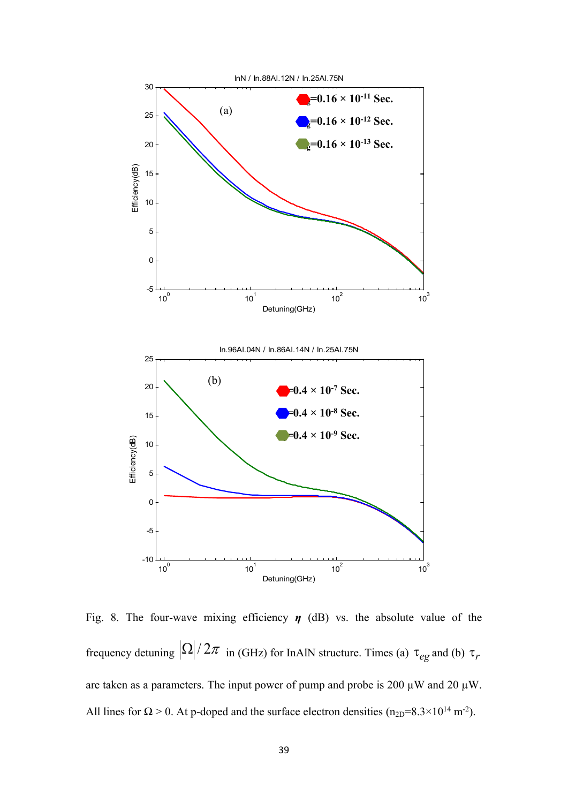

Fig. 8. The four-wave mixing efficiency  $\eta$  (dB) vs. the absolute value of the frequency detuning  $\left|\Omega\right|/2\pi$  in (GHz) for InAlN structure. Times (a)  $\tau_{eg}$  and (b)  $\tau_r$ are taken as a parameters. The input power of pump and probe is 200  $\mu$ W and 20  $\mu$ W. All lines for  $\Omega > 0$ . At p-doped and the surface electron densities (n<sub>2D</sub>=8.3×10<sup>14</sup> m<sup>-2</sup>).